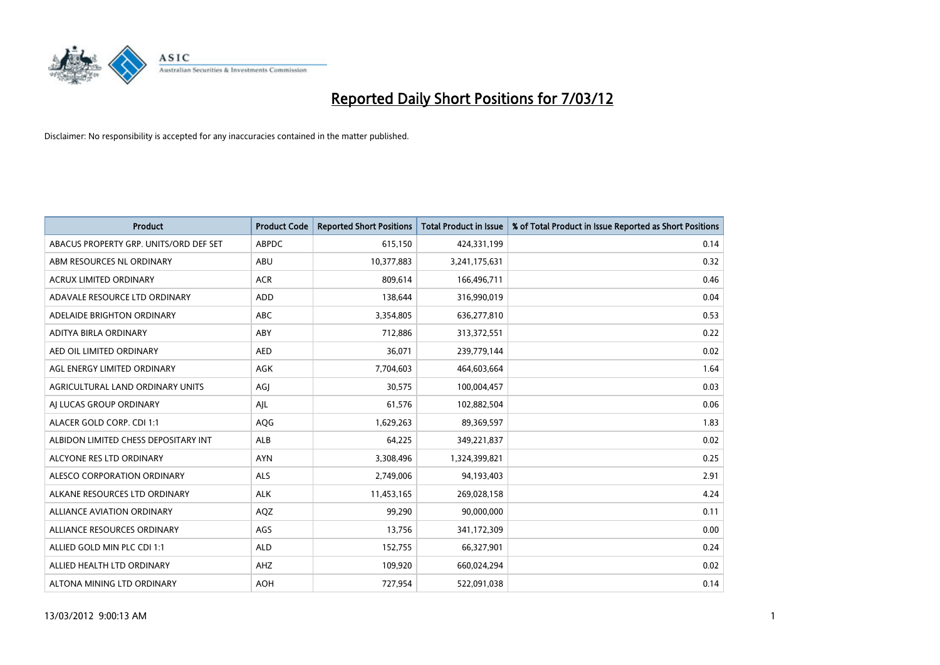

| <b>Product</b>                         | <b>Product Code</b> | <b>Reported Short Positions</b> | <b>Total Product in Issue</b> | % of Total Product in Issue Reported as Short Positions |
|----------------------------------------|---------------------|---------------------------------|-------------------------------|---------------------------------------------------------|
| ABACUS PROPERTY GRP. UNITS/ORD DEF SET | <b>ABPDC</b>        | 615,150                         | 424,331,199                   | 0.14                                                    |
| ABM RESOURCES NL ORDINARY              | ABU                 | 10,377,883                      | 3,241,175,631                 | 0.32                                                    |
| <b>ACRUX LIMITED ORDINARY</b>          | <b>ACR</b>          | 809.614                         | 166,496,711                   | 0.46                                                    |
| ADAVALE RESOURCE LTD ORDINARY          | <b>ADD</b>          | 138,644                         | 316,990,019                   | 0.04                                                    |
| ADELAIDE BRIGHTON ORDINARY             | <b>ABC</b>          | 3,354,805                       | 636,277,810                   | 0.53                                                    |
| ADITYA BIRLA ORDINARY                  | ABY                 | 712,886                         | 313,372,551                   | 0.22                                                    |
| AED OIL LIMITED ORDINARY               | <b>AED</b>          | 36,071                          | 239,779,144                   | 0.02                                                    |
| AGL ENERGY LIMITED ORDINARY            | AGK                 | 7,704,603                       | 464,603,664                   | 1.64                                                    |
| AGRICULTURAL LAND ORDINARY UNITS       | AGJ                 | 30,575                          | 100,004,457                   | 0.03                                                    |
| AI LUCAS GROUP ORDINARY                | AJL                 | 61,576                          | 102,882,504                   | 0.06                                                    |
| ALACER GOLD CORP. CDI 1:1              | AQG                 | 1,629,263                       | 89,369,597                    | 1.83                                                    |
| ALBIDON LIMITED CHESS DEPOSITARY INT   | ALB                 | 64,225                          | 349,221,837                   | 0.02                                                    |
| ALCYONE RES LTD ORDINARY               | <b>AYN</b>          | 3,308,496                       | 1,324,399,821                 | 0.25                                                    |
| ALESCO CORPORATION ORDINARY            | <b>ALS</b>          | 2,749,006                       | 94,193,403                    | 2.91                                                    |
| ALKANE RESOURCES LTD ORDINARY          | <b>ALK</b>          | 11,453,165                      | 269,028,158                   | 4.24                                                    |
| <b>ALLIANCE AVIATION ORDINARY</b>      | AQZ                 | 99.290                          | 90,000,000                    | 0.11                                                    |
| ALLIANCE RESOURCES ORDINARY            | AGS                 | 13,756                          | 341,172,309                   | 0.00                                                    |
| ALLIED GOLD MIN PLC CDI 1:1            | <b>ALD</b>          | 152,755                         | 66,327,901                    | 0.24                                                    |
| ALLIED HEALTH LTD ORDINARY             | AHZ                 | 109,920                         | 660,024,294                   | 0.02                                                    |
| ALTONA MINING LTD ORDINARY             | <b>AOH</b>          | 727,954                         | 522,091,038                   | 0.14                                                    |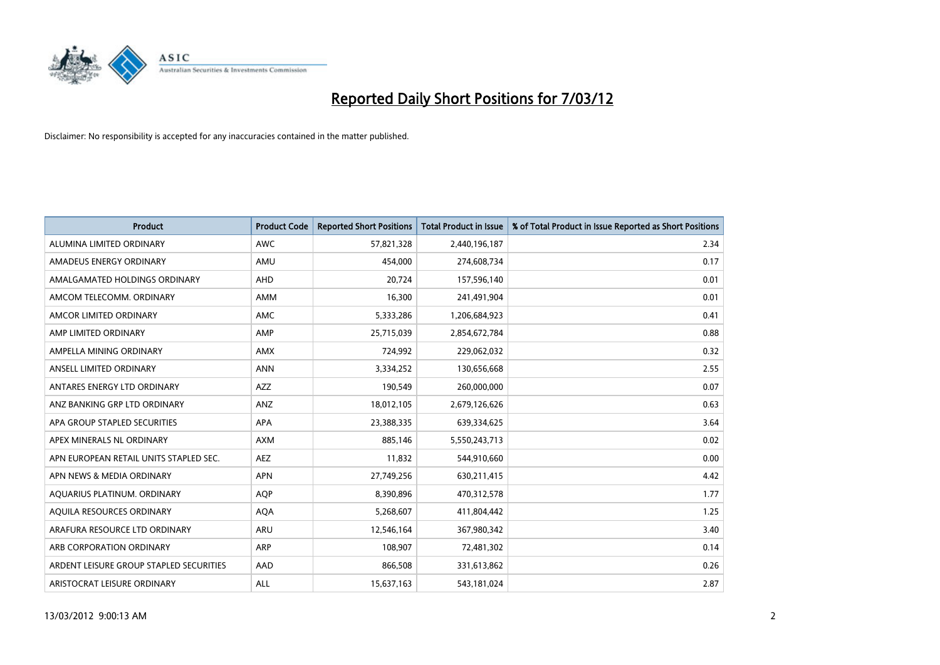

| <b>Product</b>                          | <b>Product Code</b> | <b>Reported Short Positions</b> | <b>Total Product in Issue</b> | % of Total Product in Issue Reported as Short Positions |
|-----------------------------------------|---------------------|---------------------------------|-------------------------------|---------------------------------------------------------|
| ALUMINA LIMITED ORDINARY                | <b>AWC</b>          | 57,821,328                      | 2,440,196,187                 | 2.34                                                    |
| AMADEUS ENERGY ORDINARY                 | AMU                 | 454,000                         | 274,608,734                   | 0.17                                                    |
| AMALGAMATED HOLDINGS ORDINARY           | AHD                 | 20,724                          | 157,596,140                   | 0.01                                                    |
| AMCOM TELECOMM, ORDINARY                | AMM                 | 16,300                          | 241,491,904                   | 0.01                                                    |
| AMCOR LIMITED ORDINARY                  | AMC                 | 5,333,286                       | 1,206,684,923                 | 0.41                                                    |
| AMP LIMITED ORDINARY                    | AMP                 | 25,715,039                      | 2,854,672,784                 | 0.88                                                    |
| AMPELLA MINING ORDINARY                 | <b>AMX</b>          | 724,992                         | 229,062,032                   | 0.32                                                    |
| ANSELL LIMITED ORDINARY                 | <b>ANN</b>          | 3,334,252                       | 130,656,668                   | 2.55                                                    |
| ANTARES ENERGY LTD ORDINARY             | AZZ                 | 190,549                         | 260,000,000                   | 0.07                                                    |
| ANZ BANKING GRP LTD ORDINARY            | ANZ                 | 18,012,105                      | 2,679,126,626                 | 0.63                                                    |
| APA GROUP STAPLED SECURITIES            | APA                 | 23,388,335                      | 639,334,625                   | 3.64                                                    |
| APEX MINERALS NL ORDINARY               | <b>AXM</b>          | 885,146                         | 5,550,243,713                 | 0.02                                                    |
| APN EUROPEAN RETAIL UNITS STAPLED SEC.  | <b>AEZ</b>          | 11,832                          | 544,910,660                   | 0.00                                                    |
| APN NEWS & MEDIA ORDINARY               | <b>APN</b>          | 27,749,256                      | 630,211,415                   | 4.42                                                    |
| AQUARIUS PLATINUM. ORDINARY             | <b>AOP</b>          | 8,390,896                       | 470,312,578                   | 1.77                                                    |
| AQUILA RESOURCES ORDINARY               | <b>AQA</b>          | 5,268,607                       | 411,804,442                   | 1.25                                                    |
| ARAFURA RESOURCE LTD ORDINARY           | ARU                 | 12,546,164                      | 367,980,342                   | 3.40                                                    |
| ARB CORPORATION ORDINARY                | ARP                 | 108,907                         | 72,481,302                    | 0.14                                                    |
| ARDENT LEISURE GROUP STAPLED SECURITIES | AAD                 | 866,508                         | 331,613,862                   | 0.26                                                    |
| ARISTOCRAT LEISURE ORDINARY             | ALL                 | 15,637,163                      | 543,181,024                   | 2.87                                                    |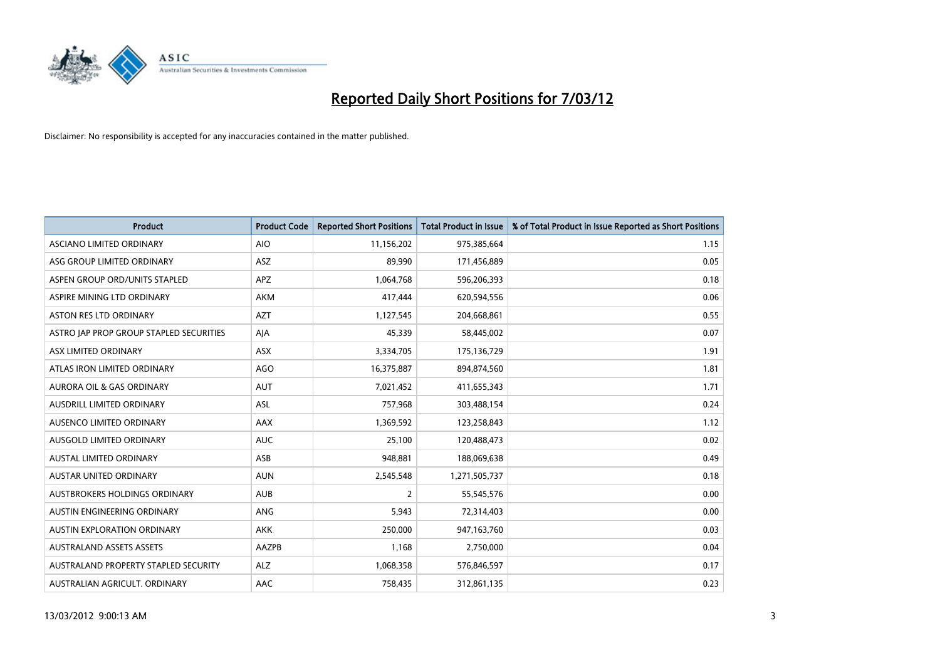

| <b>Product</b>                          | <b>Product Code</b> | <b>Reported Short Positions</b> | <b>Total Product in Issue</b> | % of Total Product in Issue Reported as Short Positions |
|-----------------------------------------|---------------------|---------------------------------|-------------------------------|---------------------------------------------------------|
| ASCIANO LIMITED ORDINARY                | <b>AIO</b>          | 11,156,202                      | 975,385,664                   | 1.15                                                    |
| ASG GROUP LIMITED ORDINARY              | ASZ                 | 89,990                          | 171,456,889                   | 0.05                                                    |
| ASPEN GROUP ORD/UNITS STAPLED           | <b>APZ</b>          | 1,064,768                       | 596,206,393                   | 0.18                                                    |
| ASPIRE MINING LTD ORDINARY              | <b>AKM</b>          | 417,444                         | 620,594,556                   | 0.06                                                    |
| <b>ASTON RES LTD ORDINARY</b>           | <b>AZT</b>          | 1,127,545                       | 204,668,861                   | 0.55                                                    |
| ASTRO JAP PROP GROUP STAPLED SECURITIES | AJA                 | 45,339                          | 58,445,002                    | 0.07                                                    |
| ASX LIMITED ORDINARY                    | ASX                 | 3,334,705                       | 175,136,729                   | 1.91                                                    |
| ATLAS IRON LIMITED ORDINARY             | <b>AGO</b>          | 16,375,887                      | 894,874,560                   | 1.81                                                    |
| <b>AURORA OIL &amp; GAS ORDINARY</b>    | <b>AUT</b>          | 7,021,452                       | 411,655,343                   | 1.71                                                    |
| AUSDRILL LIMITED ORDINARY               | ASL                 | 757,968                         | 303,488,154                   | 0.24                                                    |
| AUSENCO LIMITED ORDINARY                | AAX                 | 1,369,592                       | 123,258,843                   | 1.12                                                    |
| AUSGOLD LIMITED ORDINARY                | <b>AUC</b>          | 25,100                          | 120,488,473                   | 0.02                                                    |
| <b>AUSTAL LIMITED ORDINARY</b>          | ASB                 | 948,881                         | 188,069,638                   | 0.49                                                    |
| <b>AUSTAR UNITED ORDINARY</b>           | <b>AUN</b>          | 2,545,548                       | 1,271,505,737                 | 0.18                                                    |
| AUSTBROKERS HOLDINGS ORDINARY           | <b>AUB</b>          | $\overline{2}$                  | 55,545,576                    | 0.00                                                    |
| AUSTIN ENGINEERING ORDINARY             | ANG                 | 5,943                           | 72,314,403                    | 0.00                                                    |
| AUSTIN EXPLORATION ORDINARY             | <b>AKK</b>          | 250,000                         | 947,163,760                   | 0.03                                                    |
| <b>AUSTRALAND ASSETS ASSETS</b>         | AAZPB               | 1,168                           | 2,750,000                     | 0.04                                                    |
| AUSTRALAND PROPERTY STAPLED SECURITY    | <b>ALZ</b>          | 1,068,358                       | 576,846,597                   | 0.17                                                    |
| AUSTRALIAN AGRICULT. ORDINARY           | AAC                 | 758,435                         | 312,861,135                   | 0.23                                                    |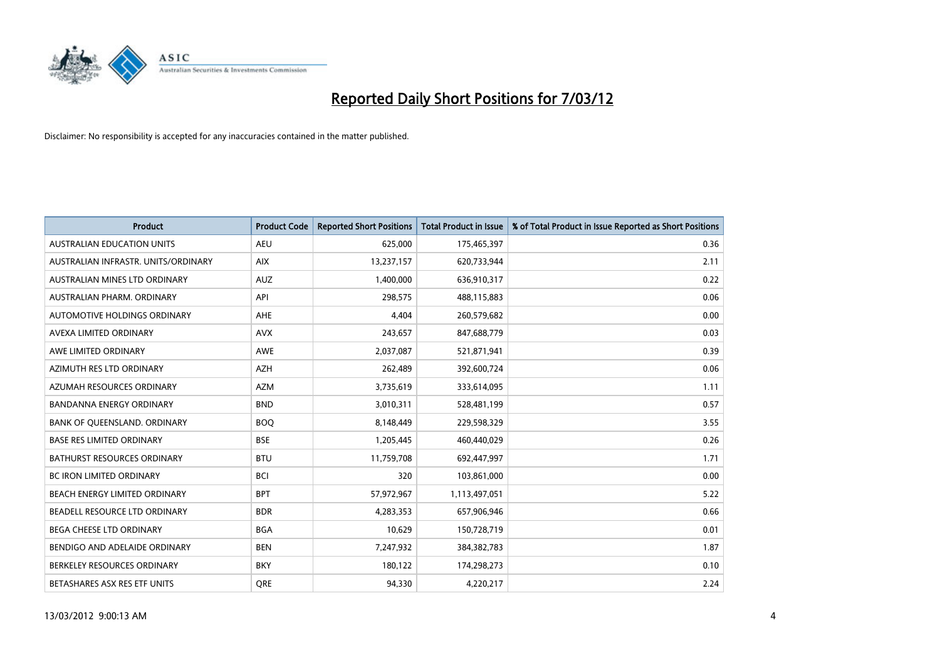

| <b>Product</b>                      | <b>Product Code</b> | <b>Reported Short Positions</b> | <b>Total Product in Issue</b> | % of Total Product in Issue Reported as Short Positions |
|-------------------------------------|---------------------|---------------------------------|-------------------------------|---------------------------------------------------------|
| <b>AUSTRALIAN EDUCATION UNITS</b>   | <b>AEU</b>          | 625,000                         | 175,465,397                   | 0.36                                                    |
| AUSTRALIAN INFRASTR. UNITS/ORDINARY | <b>AIX</b>          | 13,237,157                      | 620,733,944                   | 2.11                                                    |
| AUSTRALIAN MINES LTD ORDINARY       | <b>AUZ</b>          | 1,400,000                       | 636,910,317                   | 0.22                                                    |
| AUSTRALIAN PHARM. ORDINARY          | API                 | 298,575                         | 488,115,883                   | 0.06                                                    |
| AUTOMOTIVE HOLDINGS ORDINARY        | AHE                 | 4,404                           | 260,579,682                   | 0.00                                                    |
| AVEXA LIMITED ORDINARY              | <b>AVX</b>          | 243,657                         | 847,688,779                   | 0.03                                                    |
| AWE LIMITED ORDINARY                | <b>AWE</b>          | 2,037,087                       | 521,871,941                   | 0.39                                                    |
| AZIMUTH RES LTD ORDINARY            | <b>AZH</b>          | 262,489                         | 392,600,724                   | 0.06                                                    |
| AZUMAH RESOURCES ORDINARY           | <b>AZM</b>          | 3,735,619                       | 333,614,095                   | 1.11                                                    |
| <b>BANDANNA ENERGY ORDINARY</b>     | <b>BND</b>          | 3,010,311                       | 528,481,199                   | 0.57                                                    |
| BANK OF QUEENSLAND. ORDINARY        | <b>BOQ</b>          | 8,148,449                       | 229,598,329                   | 3.55                                                    |
| <b>BASE RES LIMITED ORDINARY</b>    | <b>BSE</b>          | 1,205,445                       | 460,440,029                   | 0.26                                                    |
| BATHURST RESOURCES ORDINARY         | <b>BTU</b>          | 11,759,708                      | 692,447,997                   | 1.71                                                    |
| <b>BC IRON LIMITED ORDINARY</b>     | <b>BCI</b>          | 320                             | 103,861,000                   | 0.00                                                    |
| BEACH ENERGY LIMITED ORDINARY       | <b>BPT</b>          | 57,972,967                      | 1,113,497,051                 | 5.22                                                    |
| BEADELL RESOURCE LTD ORDINARY       | <b>BDR</b>          | 4,283,353                       | 657,906,946                   | 0.66                                                    |
| BEGA CHEESE LTD ORDINARY            | <b>BGA</b>          | 10,629                          | 150,728,719                   | 0.01                                                    |
| BENDIGO AND ADELAIDE ORDINARY       | <b>BEN</b>          | 7,247,932                       | 384, 382, 783                 | 1.87                                                    |
| BERKELEY RESOURCES ORDINARY         | <b>BKY</b>          | 180,122                         | 174,298,273                   | 0.10                                                    |
| BETASHARES ASX RES ETF UNITS        | <b>ORE</b>          | 94,330                          | 4,220,217                     | 2.24                                                    |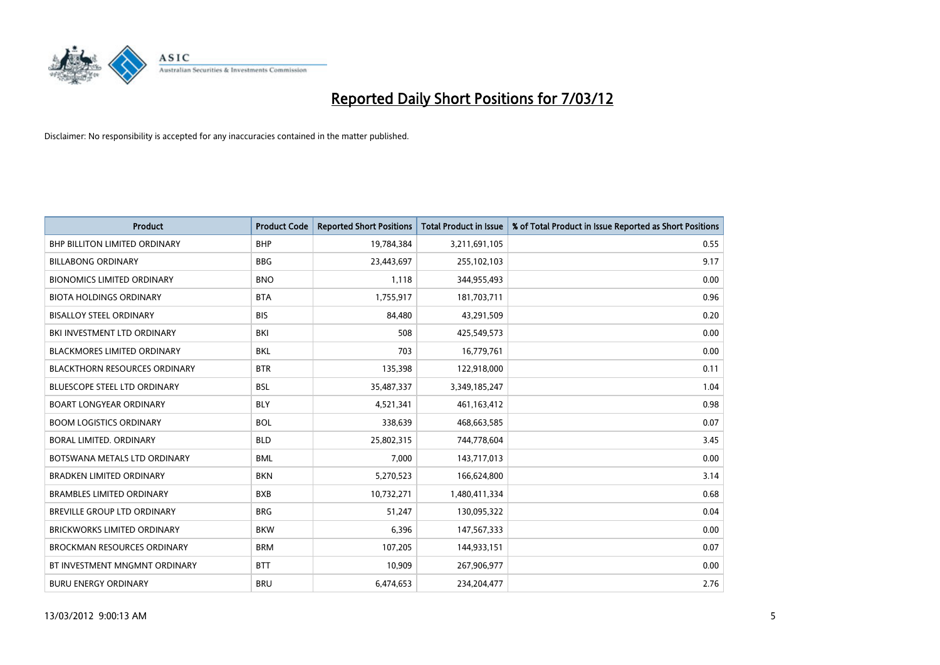

| <b>Product</b>                       | <b>Product Code</b> | <b>Reported Short Positions</b> | <b>Total Product in Issue</b> | % of Total Product in Issue Reported as Short Positions |
|--------------------------------------|---------------------|---------------------------------|-------------------------------|---------------------------------------------------------|
| <b>BHP BILLITON LIMITED ORDINARY</b> | <b>BHP</b>          | 19,784,384                      | 3,211,691,105                 | 0.55                                                    |
| <b>BILLABONG ORDINARY</b>            | <b>BBG</b>          | 23,443,697                      | 255,102,103                   | 9.17                                                    |
| <b>BIONOMICS LIMITED ORDINARY</b>    | <b>BNO</b>          | 1,118                           | 344,955,493                   | 0.00                                                    |
| <b>BIOTA HOLDINGS ORDINARY</b>       | <b>BTA</b>          | 1,755,917                       | 181,703,711                   | 0.96                                                    |
| <b>BISALLOY STEEL ORDINARY</b>       | <b>BIS</b>          | 84,480                          | 43,291,509                    | 0.20                                                    |
| BKI INVESTMENT LTD ORDINARY          | BKI                 | 508                             | 425,549,573                   | 0.00                                                    |
| <b>BLACKMORES LIMITED ORDINARY</b>   | <b>BKL</b>          | 703                             | 16,779,761                    | 0.00                                                    |
| <b>BLACKTHORN RESOURCES ORDINARY</b> | <b>BTR</b>          | 135,398                         | 122,918,000                   | 0.11                                                    |
| <b>BLUESCOPE STEEL LTD ORDINARY</b>  | <b>BSL</b>          | 35,487,337                      | 3,349,185,247                 | 1.04                                                    |
| <b>BOART LONGYEAR ORDINARY</b>       | <b>BLY</b>          | 4,521,341                       | 461,163,412                   | 0.98                                                    |
| <b>BOOM LOGISTICS ORDINARY</b>       | <b>BOL</b>          | 338,639                         | 468,663,585                   | 0.07                                                    |
| BORAL LIMITED, ORDINARY              | <b>BLD</b>          | 25,802,315                      | 744,778,604                   | 3.45                                                    |
| BOTSWANA METALS LTD ORDINARY         | <b>BML</b>          | 7,000                           | 143,717,013                   | 0.00                                                    |
| <b>BRADKEN LIMITED ORDINARY</b>      | <b>BKN</b>          | 5,270,523                       | 166,624,800                   | 3.14                                                    |
| <b>BRAMBLES LIMITED ORDINARY</b>     | <b>BXB</b>          | 10,732,271                      | 1,480,411,334                 | 0.68                                                    |
| BREVILLE GROUP LTD ORDINARY          | <b>BRG</b>          | 51,247                          | 130,095,322                   | 0.04                                                    |
| <b>BRICKWORKS LIMITED ORDINARY</b>   | <b>BKW</b>          | 6,396                           | 147,567,333                   | 0.00                                                    |
| <b>BROCKMAN RESOURCES ORDINARY</b>   | <b>BRM</b>          | 107,205                         | 144,933,151                   | 0.07                                                    |
| BT INVESTMENT MNGMNT ORDINARY        | <b>BTT</b>          | 10,909                          | 267,906,977                   | 0.00                                                    |
| <b>BURU ENERGY ORDINARY</b>          | <b>BRU</b>          | 6,474,653                       | 234,204,477                   | 2.76                                                    |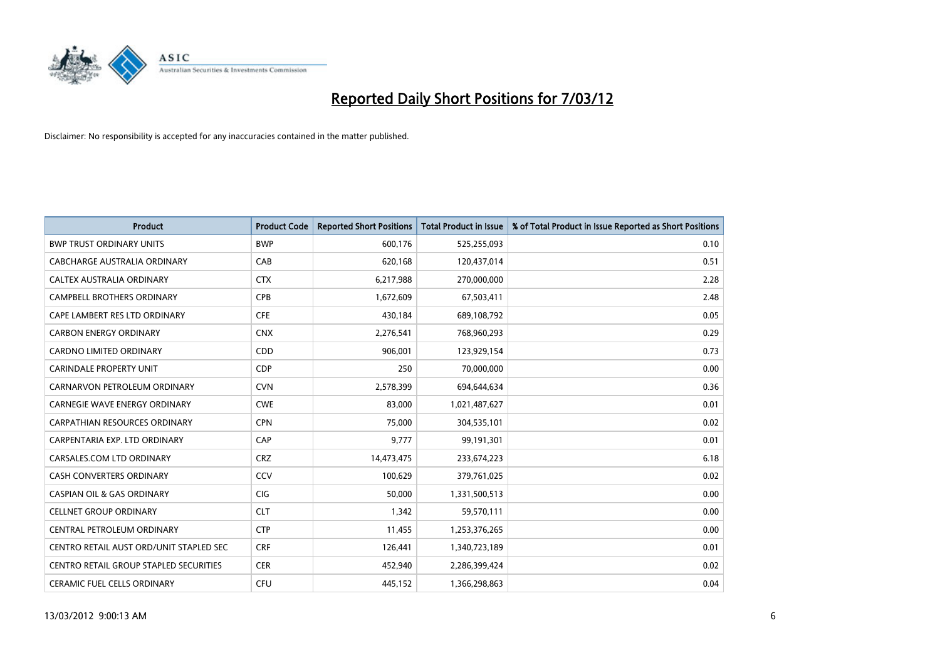

| <b>Product</b>                                | <b>Product Code</b> | <b>Reported Short Positions</b> | <b>Total Product in Issue</b> | % of Total Product in Issue Reported as Short Positions |
|-----------------------------------------------|---------------------|---------------------------------|-------------------------------|---------------------------------------------------------|
| <b>BWP TRUST ORDINARY UNITS</b>               | <b>BWP</b>          | 600,176                         | 525,255,093                   | 0.10                                                    |
| CABCHARGE AUSTRALIA ORDINARY                  | CAB                 | 620,168                         | 120,437,014                   | 0.51                                                    |
| CALTEX AUSTRALIA ORDINARY                     | <b>CTX</b>          | 6,217,988                       | 270,000,000                   | 2.28                                                    |
| CAMPBELL BROTHERS ORDINARY                    | <b>CPB</b>          | 1,672,609                       | 67,503,411                    | 2.48                                                    |
| CAPE LAMBERT RES LTD ORDINARY                 | <b>CFE</b>          | 430,184                         | 689,108,792                   | 0.05                                                    |
| <b>CARBON ENERGY ORDINARY</b>                 | <b>CNX</b>          | 2,276,541                       | 768,960,293                   | 0.29                                                    |
| <b>CARDNO LIMITED ORDINARY</b>                | <b>CDD</b>          | 906,001                         | 123,929,154                   | 0.73                                                    |
| CARINDALE PROPERTY UNIT                       | <b>CDP</b>          | 250                             | 70,000,000                    | 0.00                                                    |
| CARNARVON PETROLEUM ORDINARY                  | <b>CVN</b>          | 2,578,399                       | 694,644,634                   | 0.36                                                    |
| <b>CARNEGIE WAVE ENERGY ORDINARY</b>          | <b>CWE</b>          | 83,000                          | 1,021,487,627                 | 0.01                                                    |
| CARPATHIAN RESOURCES ORDINARY                 | <b>CPN</b>          | 75,000                          | 304,535,101                   | 0.02                                                    |
| CARPENTARIA EXP. LTD ORDINARY                 | CAP                 | 9,777                           | 99,191,301                    | 0.01                                                    |
| CARSALES.COM LTD ORDINARY                     | <b>CRZ</b>          | 14,473,475                      | 233,674,223                   | 6.18                                                    |
| <b>CASH CONVERTERS ORDINARY</b>               | CCV                 | 100,629                         | 379,761,025                   | 0.02                                                    |
| <b>CASPIAN OIL &amp; GAS ORDINARY</b>         | <b>CIG</b>          | 50,000                          | 1,331,500,513                 | 0.00                                                    |
| <b>CELLNET GROUP ORDINARY</b>                 | <b>CLT</b>          | 1,342                           | 59,570,111                    | 0.00                                                    |
| CENTRAL PETROLEUM ORDINARY                    | <b>CTP</b>          | 11,455                          | 1,253,376,265                 | 0.00                                                    |
| CENTRO RETAIL AUST ORD/UNIT STAPLED SEC       | <b>CRF</b>          | 126,441                         | 1,340,723,189                 | 0.01                                                    |
| <b>CENTRO RETAIL GROUP STAPLED SECURITIES</b> | <b>CER</b>          | 452,940                         | 2,286,399,424                 | 0.02                                                    |
| CERAMIC FUEL CELLS ORDINARY                   | <b>CFU</b>          | 445,152                         | 1,366,298,863                 | 0.04                                                    |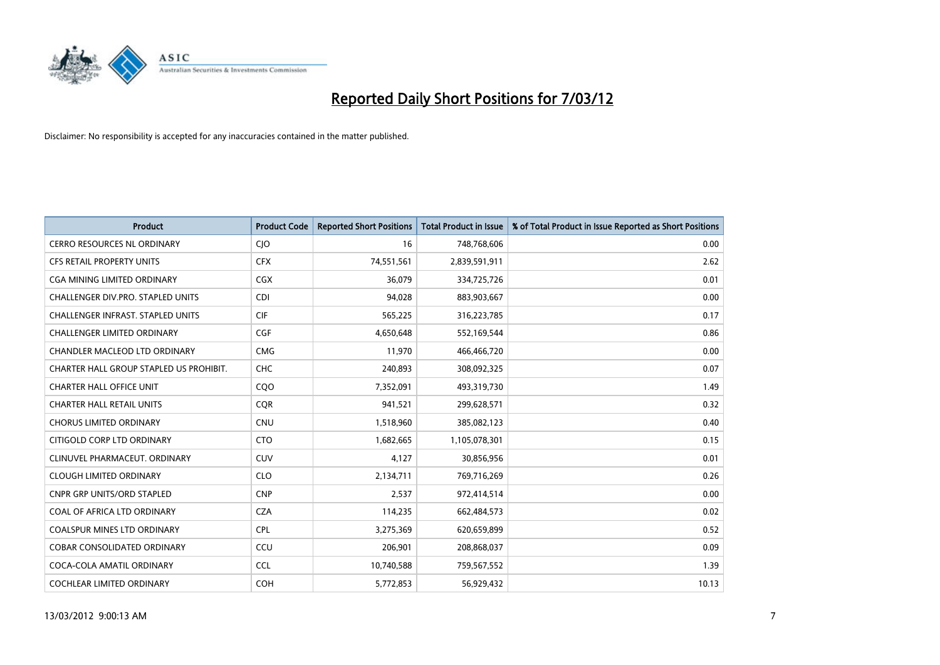

| <b>Product</b>                           | <b>Product Code</b> | <b>Reported Short Positions</b> | <b>Total Product in Issue</b> | % of Total Product in Issue Reported as Short Positions |
|------------------------------------------|---------------------|---------------------------------|-------------------------------|---------------------------------------------------------|
| <b>CERRO RESOURCES NL ORDINARY</b>       | CJO                 | 16                              | 748,768,606                   | 0.00                                                    |
| CFS RETAIL PROPERTY UNITS                | <b>CFX</b>          | 74,551,561                      | 2,839,591,911                 | 2.62                                                    |
| <b>CGA MINING LIMITED ORDINARY</b>       | <b>CGX</b>          | 36,079                          | 334,725,726                   | 0.01                                                    |
| CHALLENGER DIV.PRO. STAPLED UNITS        | <b>CDI</b>          | 94,028                          | 883,903,667                   | 0.00                                                    |
| <b>CHALLENGER INFRAST, STAPLED UNITS</b> | <b>CIF</b>          | 565,225                         | 316,223,785                   | 0.17                                                    |
| <b>CHALLENGER LIMITED ORDINARY</b>       | <b>CGF</b>          | 4,650,648                       | 552,169,544                   | 0.86                                                    |
| CHANDLER MACLEOD LTD ORDINARY            | <b>CMG</b>          | 11,970                          | 466,466,720                   | 0.00                                                    |
| CHARTER HALL GROUP STAPLED US PROHIBIT.  | <b>CHC</b>          | 240,893                         | 308,092,325                   | 0.07                                                    |
| <b>CHARTER HALL OFFICE UNIT</b>          | CQ <sub>O</sub>     | 7,352,091                       | 493,319,730                   | 1.49                                                    |
| <b>CHARTER HALL RETAIL UNITS</b>         | <b>COR</b>          | 941,521                         | 299,628,571                   | 0.32                                                    |
| <b>CHORUS LIMITED ORDINARY</b>           | <b>CNU</b>          | 1,518,960                       | 385,082,123                   | 0.40                                                    |
| CITIGOLD CORP LTD ORDINARY               | <b>CTO</b>          | 1,682,665                       | 1,105,078,301                 | 0.15                                                    |
| CLINUVEL PHARMACEUT. ORDINARY            | CUV                 | 4,127                           | 30,856,956                    | 0.01                                                    |
| <b>CLOUGH LIMITED ORDINARY</b>           | <b>CLO</b>          | 2,134,711                       | 769,716,269                   | 0.26                                                    |
| <b>CNPR GRP UNITS/ORD STAPLED</b>        | <b>CNP</b>          | 2,537                           | 972,414,514                   | 0.00                                                    |
| COAL OF AFRICA LTD ORDINARY              | <b>CZA</b>          | 114,235                         | 662,484,573                   | 0.02                                                    |
| COALSPUR MINES LTD ORDINARY              | <b>CPL</b>          | 3,275,369                       | 620,659,899                   | 0.52                                                    |
| COBAR CONSOLIDATED ORDINARY              | CCU                 | 206,901                         | 208,868,037                   | 0.09                                                    |
| COCA-COLA AMATIL ORDINARY                | <b>CCL</b>          | 10,740,588                      | 759,567,552                   | 1.39                                                    |
| COCHLEAR LIMITED ORDINARY                | <b>COH</b>          | 5,772,853                       | 56,929,432                    | 10.13                                                   |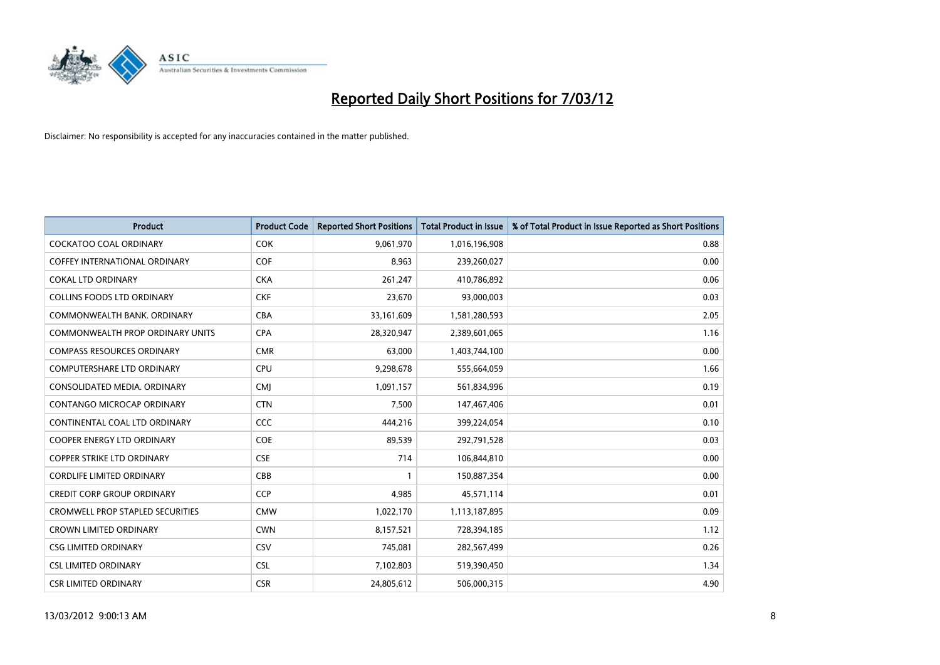

| <b>Product</b>                          | <b>Product Code</b> | <b>Reported Short Positions</b> | <b>Total Product in Issue</b> | % of Total Product in Issue Reported as Short Positions |
|-----------------------------------------|---------------------|---------------------------------|-------------------------------|---------------------------------------------------------|
| <b>COCKATOO COAL ORDINARY</b>           | COK                 | 9,061,970                       | 1,016,196,908                 | 0.88                                                    |
| COFFEY INTERNATIONAL ORDINARY           | <b>COF</b>          | 8,963                           | 239,260,027                   | 0.00                                                    |
| <b>COKAL LTD ORDINARY</b>               | <b>CKA</b>          | 261,247                         | 410,786,892                   | 0.06                                                    |
| <b>COLLINS FOODS LTD ORDINARY</b>       | <b>CKF</b>          | 23,670                          | 93,000,003                    | 0.03                                                    |
| COMMONWEALTH BANK, ORDINARY             | <b>CBA</b>          | 33,161,609                      | 1,581,280,593                 | 2.05                                                    |
| <b>COMMONWEALTH PROP ORDINARY UNITS</b> | <b>CPA</b>          | 28,320,947                      | 2,389,601,065                 | 1.16                                                    |
| <b>COMPASS RESOURCES ORDINARY</b>       | <b>CMR</b>          | 63,000                          | 1,403,744,100                 | 0.00                                                    |
| <b>COMPUTERSHARE LTD ORDINARY</b>       | <b>CPU</b>          | 9,298,678                       | 555,664,059                   | 1.66                                                    |
| CONSOLIDATED MEDIA. ORDINARY            | <b>CMI</b>          | 1,091,157                       | 561,834,996                   | 0.19                                                    |
| CONTANGO MICROCAP ORDINARY              | <b>CTN</b>          | 7,500                           | 147,467,406                   | 0.01                                                    |
| CONTINENTAL COAL LTD ORDINARY           | <b>CCC</b>          | 444,216                         | 399,224,054                   | 0.10                                                    |
| <b>COOPER ENERGY LTD ORDINARY</b>       | <b>COE</b>          | 89,539                          | 292,791,528                   | 0.03                                                    |
| <b>COPPER STRIKE LTD ORDINARY</b>       | <b>CSE</b>          | 714                             | 106,844,810                   | 0.00                                                    |
| <b>CORDLIFE LIMITED ORDINARY</b>        | CBB                 | 1                               | 150,887,354                   | 0.00                                                    |
| <b>CREDIT CORP GROUP ORDINARY</b>       | <b>CCP</b>          | 4,985                           | 45,571,114                    | 0.01                                                    |
| <b>CROMWELL PROP STAPLED SECURITIES</b> | <b>CMW</b>          | 1,022,170                       | 1,113,187,895                 | 0.09                                                    |
| <b>CROWN LIMITED ORDINARY</b>           | <b>CWN</b>          | 8,157,521                       | 728,394,185                   | 1.12                                                    |
| <b>CSG LIMITED ORDINARY</b>             | CSV                 | 745,081                         | 282,567,499                   | 0.26                                                    |
| <b>CSL LIMITED ORDINARY</b>             | <b>CSL</b>          | 7,102,803                       | 519,390,450                   | 1.34                                                    |
| <b>CSR LIMITED ORDINARY</b>             | <b>CSR</b>          | 24,805,612                      | 506,000,315                   | 4.90                                                    |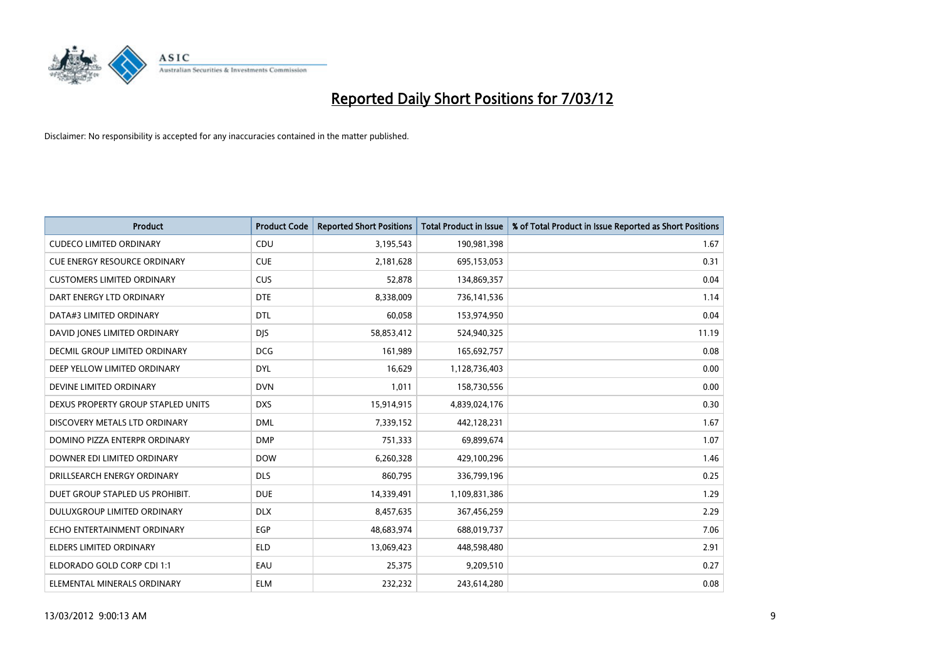

| <b>Product</b>                       | <b>Product Code</b> | <b>Reported Short Positions</b> | <b>Total Product in Issue</b> | % of Total Product in Issue Reported as Short Positions |
|--------------------------------------|---------------------|---------------------------------|-------------------------------|---------------------------------------------------------|
| <b>CUDECO LIMITED ORDINARY</b>       | CDU                 | 3,195,543                       | 190,981,398                   | 1.67                                                    |
| CUE ENERGY RESOURCE ORDINARY         | <b>CUE</b>          | 2,181,628                       | 695,153,053                   | 0.31                                                    |
| <b>CUSTOMERS LIMITED ORDINARY</b>    | <b>CUS</b>          | 52,878                          | 134,869,357                   | 0.04                                                    |
| DART ENERGY LTD ORDINARY             | <b>DTE</b>          | 8,338,009                       | 736,141,536                   | 1.14                                                    |
| DATA#3 LIMITED ORDINARY              | <b>DTL</b>          | 60,058                          | 153,974,950                   | 0.04                                                    |
| DAVID JONES LIMITED ORDINARY         | <b>DJS</b>          | 58,853,412                      | 524,940,325                   | 11.19                                                   |
| <b>DECMIL GROUP LIMITED ORDINARY</b> | <b>DCG</b>          | 161,989                         | 165,692,757                   | 0.08                                                    |
| DEEP YELLOW LIMITED ORDINARY         | <b>DYL</b>          | 16,629                          | 1,128,736,403                 | 0.00                                                    |
| DEVINE LIMITED ORDINARY              | <b>DVN</b>          | 1,011                           | 158,730,556                   | 0.00                                                    |
| DEXUS PROPERTY GROUP STAPLED UNITS   | <b>DXS</b>          | 15,914,915                      | 4,839,024,176                 | 0.30                                                    |
| DISCOVERY METALS LTD ORDINARY        | <b>DML</b>          | 7,339,152                       | 442,128,231                   | 1.67                                                    |
| DOMINO PIZZA ENTERPR ORDINARY        | <b>DMP</b>          | 751,333                         | 69,899,674                    | 1.07                                                    |
| DOWNER EDI LIMITED ORDINARY          | <b>DOW</b>          | 6,260,328                       | 429,100,296                   | 1.46                                                    |
| DRILLSEARCH ENERGY ORDINARY          | <b>DLS</b>          | 860,795                         | 336,799,196                   | 0.25                                                    |
| DUET GROUP STAPLED US PROHIBIT.      | <b>DUE</b>          | 14,339,491                      | 1,109,831,386                 | 1.29                                                    |
| DULUXGROUP LIMITED ORDINARY          | <b>DLX</b>          | 8,457,635                       | 367,456,259                   | 2.29                                                    |
| ECHO ENTERTAINMENT ORDINARY          | EGP                 | 48,683,974                      | 688,019,737                   | 7.06                                                    |
| ELDERS LIMITED ORDINARY              | <b>ELD</b>          | 13,069,423                      | 448,598,480                   | 2.91                                                    |
| ELDORADO GOLD CORP CDI 1:1           | EAU                 | 25,375                          | 9,209,510                     | 0.27                                                    |
| ELEMENTAL MINERALS ORDINARY          | <b>ELM</b>          | 232,232                         | 243,614,280                   | 0.08                                                    |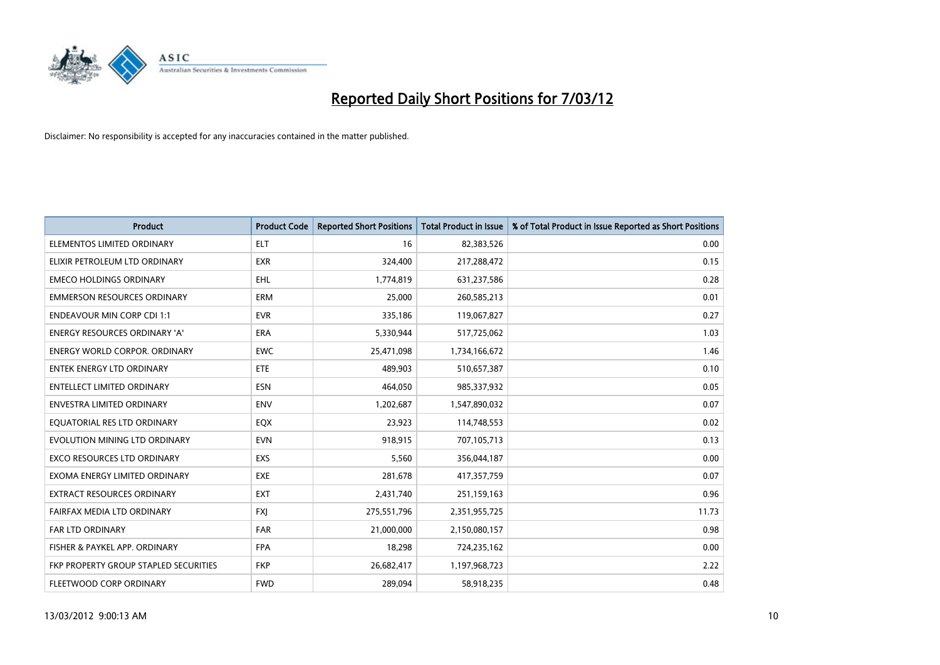

| <b>Product</b>                        | <b>Product Code</b> | <b>Reported Short Positions</b> | <b>Total Product in Issue</b> | % of Total Product in Issue Reported as Short Positions |
|---------------------------------------|---------------------|---------------------------------|-------------------------------|---------------------------------------------------------|
| ELEMENTOS LIMITED ORDINARY            | <b>ELT</b>          | 16                              | 82,383,526                    | 0.00                                                    |
| ELIXIR PETROLEUM LTD ORDINARY         | <b>EXR</b>          | 324,400                         | 217,288,472                   | 0.15                                                    |
| <b>EMECO HOLDINGS ORDINARY</b>        | <b>EHL</b>          | 1,774,819                       | 631,237,586                   | 0.28                                                    |
| <b>EMMERSON RESOURCES ORDINARY</b>    | <b>ERM</b>          | 25,000                          | 260,585,213                   | 0.01                                                    |
| <b>ENDEAVOUR MIN CORP CDI 1:1</b>     | <b>EVR</b>          | 335,186                         | 119,067,827                   | 0.27                                                    |
| ENERGY RESOURCES ORDINARY 'A'         | <b>ERA</b>          | 5,330,944                       | 517,725,062                   | 1.03                                                    |
| <b>ENERGY WORLD CORPOR. ORDINARY</b>  | <b>EWC</b>          | 25,471,098                      | 1,734,166,672                 | 1.46                                                    |
| ENTEK ENERGY LTD ORDINARY             | <b>ETE</b>          | 489,903                         | 510,657,387                   | 0.10                                                    |
| <b>ENTELLECT LIMITED ORDINARY</b>     | <b>ESN</b>          | 464,050                         | 985,337,932                   | 0.05                                                    |
| <b>ENVESTRA LIMITED ORDINARY</b>      | <b>ENV</b>          | 1,202,687                       | 1,547,890,032                 | 0.07                                                    |
| EQUATORIAL RES LTD ORDINARY           | EQX                 | 23,923                          | 114,748,553                   | 0.02                                                    |
| EVOLUTION MINING LTD ORDINARY         | <b>EVN</b>          | 918,915                         | 707,105,713                   | 0.13                                                    |
| EXCO RESOURCES LTD ORDINARY           | <b>EXS</b>          | 5,560                           | 356,044,187                   | 0.00                                                    |
| EXOMA ENERGY LIMITED ORDINARY         | <b>EXE</b>          | 281,678                         | 417,357,759                   | 0.07                                                    |
| <b>EXTRACT RESOURCES ORDINARY</b>     | <b>EXT</b>          | 2,431,740                       | 251,159,163                   | 0.96                                                    |
| FAIRFAX MEDIA LTD ORDINARY            | <b>FXI</b>          | 275,551,796                     | 2,351,955,725                 | 11.73                                                   |
| FAR LTD ORDINARY                      | <b>FAR</b>          | 21,000,000                      | 2,150,080,157                 | 0.98                                                    |
| FISHER & PAYKEL APP. ORDINARY         | <b>FPA</b>          | 18,298                          | 724,235,162                   | 0.00                                                    |
| FKP PROPERTY GROUP STAPLED SECURITIES | <b>FKP</b>          | 26,682,417                      | 1,197,968,723                 | 2.22                                                    |
| FLEETWOOD CORP ORDINARY               | <b>FWD</b>          | 289,094                         | 58,918,235                    | 0.48                                                    |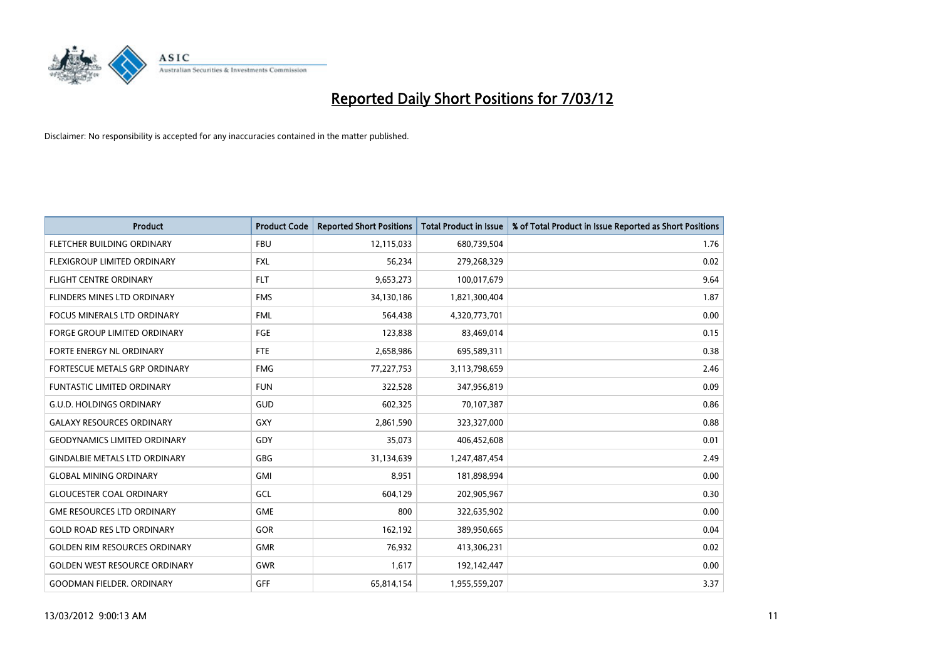

| <b>Product</b>                       | <b>Product Code</b> | <b>Reported Short Positions</b> | <b>Total Product in Issue</b> | % of Total Product in Issue Reported as Short Positions |
|--------------------------------------|---------------------|---------------------------------|-------------------------------|---------------------------------------------------------|
| FLETCHER BUILDING ORDINARY           | <b>FBU</b>          | 12,115,033                      | 680,739,504                   | 1.76                                                    |
| FLEXIGROUP LIMITED ORDINARY          | FXL                 | 56,234                          | 279,268,329                   | 0.02                                                    |
| <b>FLIGHT CENTRE ORDINARY</b>        | <b>FLT</b>          | 9,653,273                       | 100,017,679                   | 9.64                                                    |
| FLINDERS MINES LTD ORDINARY          | <b>FMS</b>          | 34,130,186                      | 1,821,300,404                 | 1.87                                                    |
| <b>FOCUS MINERALS LTD ORDINARY</b>   | <b>FML</b>          | 564,438                         | 4,320,773,701                 | 0.00                                                    |
| <b>FORGE GROUP LIMITED ORDINARY</b>  | FGE                 | 123,838                         | 83,469,014                    | 0.15                                                    |
| <b>FORTE ENERGY NL ORDINARY</b>      | FTE                 | 2,658,986                       | 695,589,311                   | 0.38                                                    |
| FORTESCUE METALS GRP ORDINARY        | <b>FMG</b>          | 77,227,753                      | 3,113,798,659                 | 2.46                                                    |
| <b>FUNTASTIC LIMITED ORDINARY</b>    | <b>FUN</b>          | 322,528                         | 347,956,819                   | 0.09                                                    |
| <b>G.U.D. HOLDINGS ORDINARY</b>      | GUD                 | 602,325                         | 70,107,387                    | 0.86                                                    |
| <b>GALAXY RESOURCES ORDINARY</b>     | GXY                 | 2,861,590                       | 323,327,000                   | 0.88                                                    |
| <b>GEODYNAMICS LIMITED ORDINARY</b>  | GDY                 | 35,073                          | 406,452,608                   | 0.01                                                    |
| <b>GINDALBIE METALS LTD ORDINARY</b> | GBG                 | 31,134,639                      | 1,247,487,454                 | 2.49                                                    |
| <b>GLOBAL MINING ORDINARY</b>        | GMI                 | 8,951                           | 181,898,994                   | 0.00                                                    |
| <b>GLOUCESTER COAL ORDINARY</b>      | GCL                 | 604,129                         | 202,905,967                   | 0.30                                                    |
| <b>GME RESOURCES LTD ORDINARY</b>    | <b>GME</b>          | 800                             | 322,635,902                   | 0.00                                                    |
| <b>GOLD ROAD RES LTD ORDINARY</b>    | GOR                 | 162,192                         | 389,950,665                   | 0.04                                                    |
| <b>GOLDEN RIM RESOURCES ORDINARY</b> | <b>GMR</b>          | 76,932                          | 413,306,231                   | 0.02                                                    |
| <b>GOLDEN WEST RESOURCE ORDINARY</b> | <b>GWR</b>          | 1,617                           | 192,142,447                   | 0.00                                                    |
| <b>GOODMAN FIELDER. ORDINARY</b>     | GFF                 | 65,814,154                      | 1,955,559,207                 | 3.37                                                    |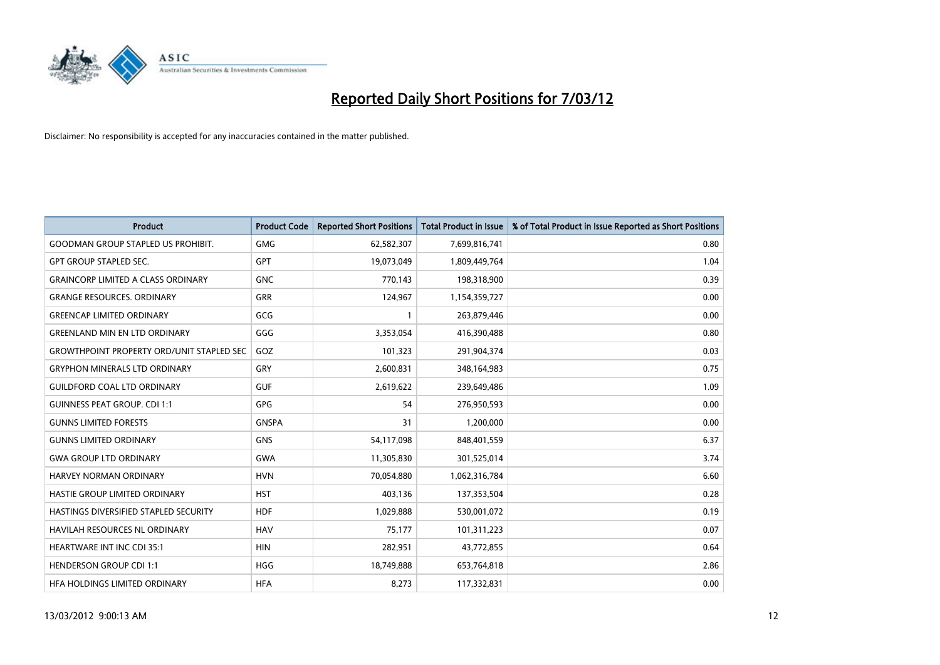

| <b>Product</b>                                   | <b>Product Code</b> | <b>Reported Short Positions</b> | <b>Total Product in Issue</b> | % of Total Product in Issue Reported as Short Positions |
|--------------------------------------------------|---------------------|---------------------------------|-------------------------------|---------------------------------------------------------|
| <b>GOODMAN GROUP STAPLED US PROHIBIT.</b>        | <b>GMG</b>          | 62,582,307                      | 7,699,816,741                 | 0.80                                                    |
| <b>GPT GROUP STAPLED SEC.</b>                    | GPT                 | 19,073,049                      | 1,809,449,764                 | 1.04                                                    |
| <b>GRAINCORP LIMITED A CLASS ORDINARY</b>        | <b>GNC</b>          | 770,143                         | 198,318,900                   | 0.39                                                    |
| <b>GRANGE RESOURCES. ORDINARY</b>                | <b>GRR</b>          | 124,967                         | 1,154,359,727                 | 0.00                                                    |
| <b>GREENCAP LIMITED ORDINARY</b>                 | GCG                 | 1                               | 263,879,446                   | 0.00                                                    |
| <b>GREENLAND MIN EN LTD ORDINARY</b>             | GGG                 | 3,353,054                       | 416,390,488                   | 0.80                                                    |
| <b>GROWTHPOINT PROPERTY ORD/UNIT STAPLED SEC</b> | GOZ                 | 101,323                         | 291,904,374                   | 0.03                                                    |
| <b>GRYPHON MINERALS LTD ORDINARY</b>             | GRY                 | 2,600,831                       | 348,164,983                   | 0.75                                                    |
| <b>GUILDFORD COAL LTD ORDINARY</b>               | <b>GUF</b>          | 2,619,622                       | 239,649,486                   | 1.09                                                    |
| <b>GUINNESS PEAT GROUP. CDI 1:1</b>              | <b>GPG</b>          | 54                              | 276,950,593                   | 0.00                                                    |
| <b>GUNNS LIMITED FORESTS</b>                     | <b>GNSPA</b>        | 31                              | 1,200,000                     | 0.00                                                    |
| <b>GUNNS LIMITED ORDINARY</b>                    | <b>GNS</b>          | 54,117,098                      | 848,401,559                   | 6.37                                                    |
| <b>GWA GROUP LTD ORDINARY</b>                    | <b>GWA</b>          | 11,305,830                      | 301,525,014                   | 3.74                                                    |
| HARVEY NORMAN ORDINARY                           | <b>HVN</b>          | 70,054,880                      | 1,062,316,784                 | 6.60                                                    |
| HASTIE GROUP LIMITED ORDINARY                    | <b>HST</b>          | 403,136                         | 137,353,504                   | 0.28                                                    |
| HASTINGS DIVERSIFIED STAPLED SECURITY            | <b>HDF</b>          | 1,029,888                       | 530,001,072                   | 0.19                                                    |
| HAVILAH RESOURCES NL ORDINARY                    | <b>HAV</b>          | 75,177                          | 101,311,223                   | 0.07                                                    |
| HEARTWARE INT INC CDI 35:1                       | <b>HIN</b>          | 282,951                         | 43,772,855                    | 0.64                                                    |
| <b>HENDERSON GROUP CDI 1:1</b>                   | <b>HGG</b>          | 18,749,888                      | 653,764,818                   | 2.86                                                    |
| HFA HOLDINGS LIMITED ORDINARY                    | <b>HFA</b>          | 8,273                           | 117,332,831                   | 0.00                                                    |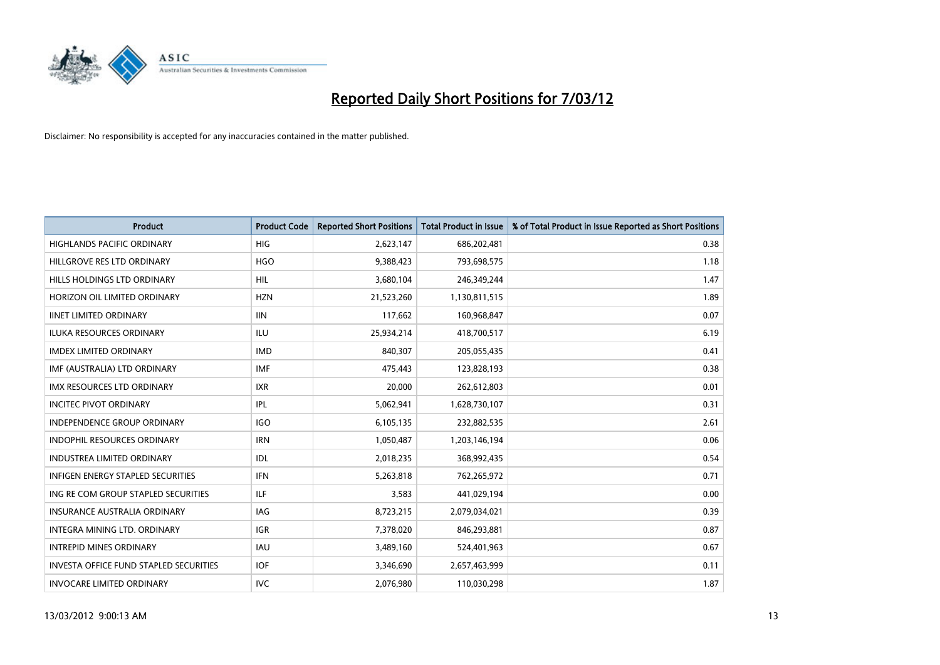

| <b>Product</b>                                | <b>Product Code</b> | <b>Reported Short Positions</b> | <b>Total Product in Issue</b> | % of Total Product in Issue Reported as Short Positions |
|-----------------------------------------------|---------------------|---------------------------------|-------------------------------|---------------------------------------------------------|
| <b>HIGHLANDS PACIFIC ORDINARY</b>             | <b>HIG</b>          | 2,623,147                       | 686,202,481                   | 0.38                                                    |
| HILLGROVE RES LTD ORDINARY                    | <b>HGO</b>          | 9,388,423                       | 793,698,575                   | 1.18                                                    |
| HILLS HOLDINGS LTD ORDINARY                   | <b>HIL</b>          | 3,680,104                       | 246,349,244                   | 1.47                                                    |
| HORIZON OIL LIMITED ORDINARY                  | <b>HZN</b>          | 21,523,260                      | 1,130,811,515                 | 1.89                                                    |
| <b>IINET LIMITED ORDINARY</b>                 | <b>IIN</b>          | 117,662                         | 160,968,847                   | 0.07                                                    |
| <b>ILUKA RESOURCES ORDINARY</b>               | ILU                 | 25,934,214                      | 418,700,517                   | 6.19                                                    |
| <b>IMDEX LIMITED ORDINARY</b>                 | <b>IMD</b>          | 840,307                         | 205,055,435                   | 0.41                                                    |
| IMF (AUSTRALIA) LTD ORDINARY                  | <b>IMF</b>          | 475,443                         | 123,828,193                   | 0.38                                                    |
| <b>IMX RESOURCES LTD ORDINARY</b>             | <b>IXR</b>          | 20,000                          | 262,612,803                   | 0.01                                                    |
| <b>INCITEC PIVOT ORDINARY</b>                 | IPL                 | 5,062,941                       | 1,628,730,107                 | 0.31                                                    |
| INDEPENDENCE GROUP ORDINARY                   | <b>IGO</b>          | 6,105,135                       | 232,882,535                   | 2.61                                                    |
| <b>INDOPHIL RESOURCES ORDINARY</b>            | <b>IRN</b>          | 1,050,487                       | 1,203,146,194                 | 0.06                                                    |
| <b>INDUSTREA LIMITED ORDINARY</b>             | <b>IDL</b>          | 2,018,235                       | 368,992,435                   | 0.54                                                    |
| <b>INFIGEN ENERGY STAPLED SECURITIES</b>      | <b>IFN</b>          | 5,263,818                       | 762,265,972                   | 0.71                                                    |
| ING RE COM GROUP STAPLED SECURITIES           | ILF.                | 3,583                           | 441,029,194                   | 0.00                                                    |
| INSURANCE AUSTRALIA ORDINARY                  | IAG                 | 8,723,215                       | 2,079,034,021                 | 0.39                                                    |
| INTEGRA MINING LTD. ORDINARY                  | IGR                 | 7,378,020                       | 846,293,881                   | 0.87                                                    |
| <b>INTREPID MINES ORDINARY</b>                | <b>IAU</b>          | 3,489,160                       | 524,401,963                   | 0.67                                                    |
| <b>INVESTA OFFICE FUND STAPLED SECURITIES</b> | <b>IOF</b>          | 3,346,690                       | 2,657,463,999                 | 0.11                                                    |
| <b>INVOCARE LIMITED ORDINARY</b>              | <b>IVC</b>          | 2,076,980                       | 110,030,298                   | 1.87                                                    |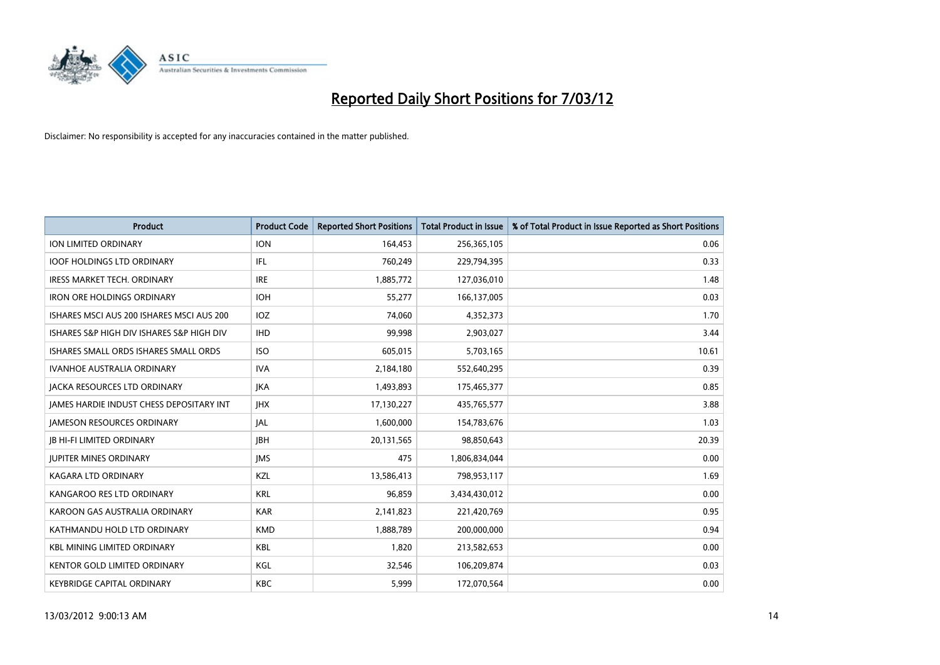

| <b>Product</b>                            | <b>Product Code</b> | <b>Reported Short Positions</b> | <b>Total Product in Issue</b> | % of Total Product in Issue Reported as Short Positions |
|-------------------------------------------|---------------------|---------------------------------|-------------------------------|---------------------------------------------------------|
| <b>ION LIMITED ORDINARY</b>               | <b>ION</b>          | 164,453                         | 256,365,105                   | 0.06                                                    |
| <b>IOOF HOLDINGS LTD ORDINARY</b>         | IFL                 | 760,249                         | 229,794,395                   | 0.33                                                    |
| IRESS MARKET TECH. ORDINARY               | <b>IRE</b>          | 1,885,772                       | 127,036,010                   | 1.48                                                    |
| <b>IRON ORE HOLDINGS ORDINARY</b>         | <b>IOH</b>          | 55,277                          | 166,137,005                   | 0.03                                                    |
| ISHARES MSCI AUS 200 ISHARES MSCI AUS 200 | <b>IOZ</b>          | 74,060                          | 4,352,373                     | 1.70                                                    |
| ISHARES S&P HIGH DIV ISHARES S&P HIGH DIV | <b>IHD</b>          | 99,998                          | 2,903,027                     | 3.44                                                    |
| ISHARES SMALL ORDS ISHARES SMALL ORDS     | <b>ISO</b>          | 605,015                         | 5,703,165                     | 10.61                                                   |
| IVANHOE AUSTRALIA ORDINARY                | <b>IVA</b>          | 2,184,180                       | 552,640,295                   | 0.39                                                    |
| <b>JACKA RESOURCES LTD ORDINARY</b>       | <b>JKA</b>          | 1,493,893                       | 175,465,377                   | 0.85                                                    |
| JAMES HARDIE INDUST CHESS DEPOSITARY INT  | <b>IHX</b>          | 17,130,227                      | 435,765,577                   | 3.88                                                    |
| JAMESON RESOURCES ORDINARY                | JAL                 | 1,600,000                       | 154,783,676                   | 1.03                                                    |
| <b>JB HI-FI LIMITED ORDINARY</b>          | <b>IBH</b>          | 20,131,565                      | 98,850,643                    | 20.39                                                   |
| <b>JUPITER MINES ORDINARY</b>             | <b>IMS</b>          | 475                             | 1,806,834,044                 | 0.00                                                    |
| <b>KAGARA LTD ORDINARY</b>                | KZL                 | 13,586,413                      | 798,953,117                   | 1.69                                                    |
| KANGAROO RES LTD ORDINARY                 | <b>KRL</b>          | 96,859                          | 3,434,430,012                 | 0.00                                                    |
| KAROON GAS AUSTRALIA ORDINARY             | <b>KAR</b>          | 2,141,823                       | 221,420,769                   | 0.95                                                    |
| KATHMANDU HOLD LTD ORDINARY               | <b>KMD</b>          | 1,888,789                       | 200,000,000                   | 0.94                                                    |
| <b>KBL MINING LIMITED ORDINARY</b>        | <b>KBL</b>          | 1,820                           | 213,582,653                   | 0.00                                                    |
| <b>KENTOR GOLD LIMITED ORDINARY</b>       | KGL                 | 32,546                          | 106,209,874                   | 0.03                                                    |
| <b>KEYBRIDGE CAPITAL ORDINARY</b>         | <b>KBC</b>          | 5,999                           | 172,070,564                   | 0.00                                                    |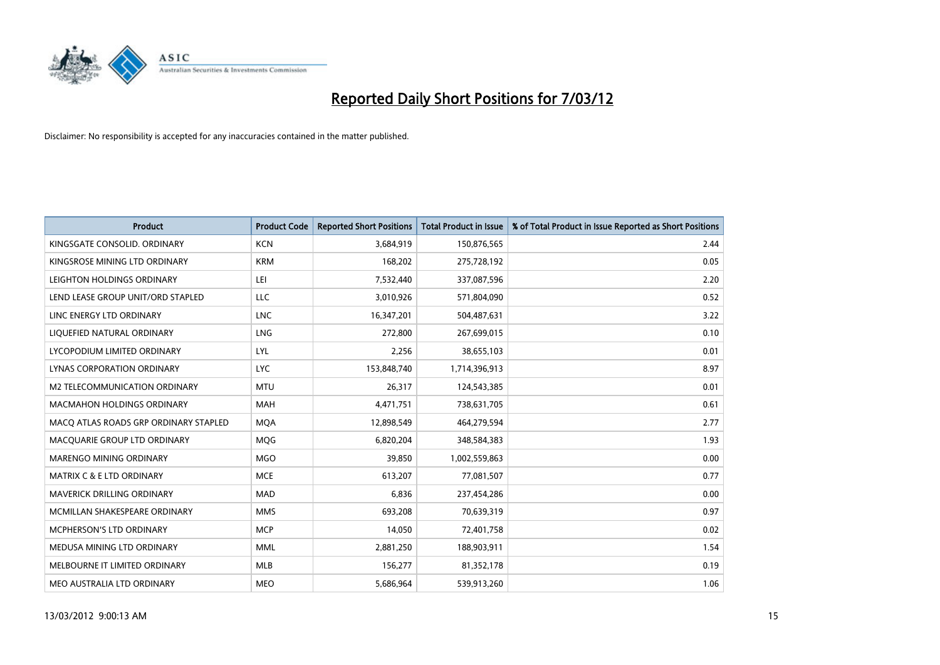

| <b>Product</b>                        | <b>Product Code</b> | <b>Reported Short Positions</b> | <b>Total Product in Issue</b> | % of Total Product in Issue Reported as Short Positions |
|---------------------------------------|---------------------|---------------------------------|-------------------------------|---------------------------------------------------------|
| KINGSGATE CONSOLID. ORDINARY          | <b>KCN</b>          | 3,684,919                       | 150,876,565                   | 2.44                                                    |
| KINGSROSE MINING LTD ORDINARY         | <b>KRM</b>          | 168,202                         | 275,728,192                   | 0.05                                                    |
| LEIGHTON HOLDINGS ORDINARY            | LEI                 | 7,532,440                       | 337,087,596                   | 2.20                                                    |
| LEND LEASE GROUP UNIT/ORD STAPLED     | <b>LLC</b>          | 3,010,926                       | 571,804,090                   | 0.52                                                    |
| LINC ENERGY LTD ORDINARY              | <b>LNC</b>          | 16,347,201                      | 504,487,631                   | 3.22                                                    |
| LIQUEFIED NATURAL ORDINARY            | LNG                 | 272,800                         | 267,699,015                   | 0.10                                                    |
| LYCOPODIUM LIMITED ORDINARY           | <b>LYL</b>          | 2,256                           | 38,655,103                    | 0.01                                                    |
| LYNAS CORPORATION ORDINARY            | <b>LYC</b>          | 153,848,740                     | 1,714,396,913                 | 8.97                                                    |
| M2 TELECOMMUNICATION ORDINARY         | <b>MTU</b>          | 26,317                          | 124,543,385                   | 0.01                                                    |
| <b>MACMAHON HOLDINGS ORDINARY</b>     | <b>MAH</b>          | 4,471,751                       | 738,631,705                   | 0.61                                                    |
| MACO ATLAS ROADS GRP ORDINARY STAPLED | <b>MOA</b>          | 12,898,549                      | 464,279,594                   | 2.77                                                    |
| MACQUARIE GROUP LTD ORDINARY          | MQG                 | 6,820,204                       | 348,584,383                   | 1.93                                                    |
| MARENGO MINING ORDINARY               | <b>MGO</b>          | 39,850                          | 1,002,559,863                 | 0.00                                                    |
| <b>MATRIX C &amp; E LTD ORDINARY</b>  | <b>MCE</b>          | 613,207                         | 77,081,507                    | 0.77                                                    |
| MAVERICK DRILLING ORDINARY            | <b>MAD</b>          | 6,836                           | 237,454,286                   | 0.00                                                    |
| MCMILLAN SHAKESPEARE ORDINARY         | <b>MMS</b>          | 693,208                         | 70,639,319                    | 0.97                                                    |
| MCPHERSON'S LTD ORDINARY              | <b>MCP</b>          | 14,050                          | 72,401,758                    | 0.02                                                    |
| MEDUSA MINING LTD ORDINARY            | <b>MML</b>          | 2,881,250                       | 188,903,911                   | 1.54                                                    |
| MELBOURNE IT LIMITED ORDINARY         | <b>MLB</b>          | 156,277                         | 81,352,178                    | 0.19                                                    |
| MEO AUSTRALIA LTD ORDINARY            | <b>MEO</b>          | 5,686,964                       | 539,913,260                   | 1.06                                                    |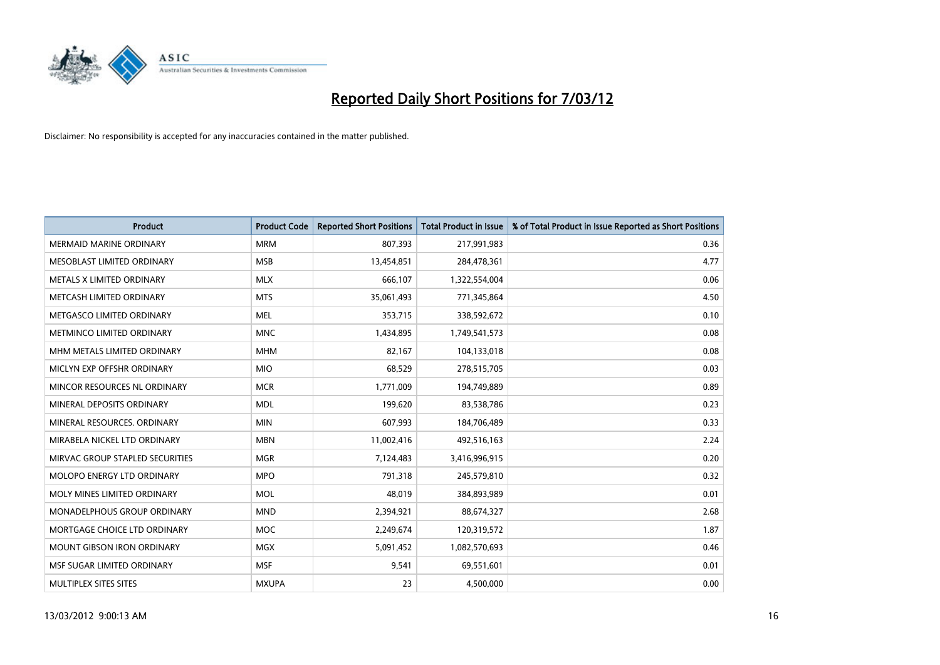

| <b>Product</b>                  | <b>Product Code</b> | <b>Reported Short Positions</b> | <b>Total Product in Issue</b> | % of Total Product in Issue Reported as Short Positions |
|---------------------------------|---------------------|---------------------------------|-------------------------------|---------------------------------------------------------|
| <b>MERMAID MARINE ORDINARY</b>  | <b>MRM</b>          | 807,393                         | 217,991,983                   | 0.36                                                    |
| MESOBLAST LIMITED ORDINARY      | <b>MSB</b>          | 13,454,851                      | 284,478,361                   | 4.77                                                    |
| METALS X LIMITED ORDINARY       | <b>MLX</b>          | 666,107                         | 1,322,554,004                 | 0.06                                                    |
| METCASH LIMITED ORDINARY        | <b>MTS</b>          | 35,061,493                      | 771,345,864                   | 4.50                                                    |
| METGASCO LIMITED ORDINARY       | <b>MEL</b>          | 353,715                         | 338,592,672                   | 0.10                                                    |
| METMINCO LIMITED ORDINARY       | <b>MNC</b>          | 1,434,895                       | 1,749,541,573                 | 0.08                                                    |
| MHM METALS LIMITED ORDINARY     | <b>MHM</b>          | 82,167                          | 104,133,018                   | 0.08                                                    |
| MICLYN EXP OFFSHR ORDINARY      | <b>MIO</b>          | 68,529                          | 278,515,705                   | 0.03                                                    |
| MINCOR RESOURCES NL ORDINARY    | <b>MCR</b>          | 1,771,009                       | 194,749,889                   | 0.89                                                    |
| MINERAL DEPOSITS ORDINARY       | <b>MDL</b>          | 199,620                         | 83,538,786                    | 0.23                                                    |
| MINERAL RESOURCES, ORDINARY     | <b>MIN</b>          | 607,993                         | 184,706,489                   | 0.33                                                    |
| MIRABELA NICKEL LTD ORDINARY    | <b>MBN</b>          | 11,002,416                      | 492,516,163                   | 2.24                                                    |
| MIRVAC GROUP STAPLED SECURITIES | <b>MGR</b>          | 7,124,483                       | 3,416,996,915                 | 0.20                                                    |
| MOLOPO ENERGY LTD ORDINARY      | <b>MPO</b>          | 791,318                         | 245,579,810                   | 0.32                                                    |
| MOLY MINES LIMITED ORDINARY     | <b>MOL</b>          | 48,019                          | 384,893,989                   | 0.01                                                    |
| MONADELPHOUS GROUP ORDINARY     | <b>MND</b>          | 2,394,921                       | 88,674,327                    | 2.68                                                    |
| MORTGAGE CHOICE LTD ORDINARY    | <b>MOC</b>          | 2,249,674                       | 120,319,572                   | 1.87                                                    |
| MOUNT GIBSON IRON ORDINARY      | <b>MGX</b>          | 5,091,452                       | 1,082,570,693                 | 0.46                                                    |
| MSF SUGAR LIMITED ORDINARY      | <b>MSF</b>          | 9,541                           | 69,551,601                    | 0.01                                                    |
| MULTIPLEX SITES SITES           | <b>MXUPA</b>        | 23                              | 4,500,000                     | 0.00                                                    |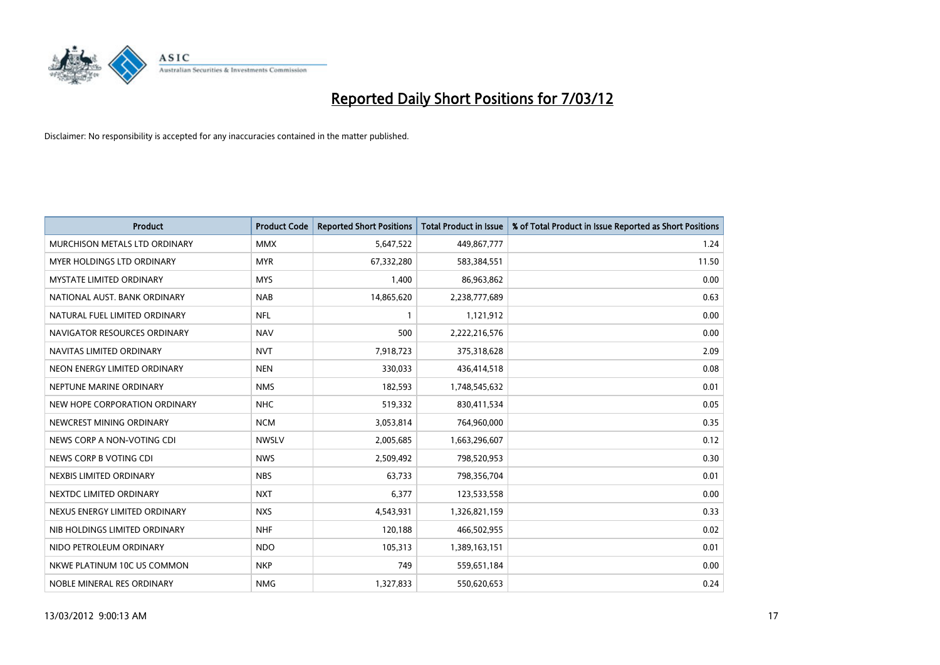

| <b>Product</b>                    | <b>Product Code</b> | <b>Reported Short Positions</b> | <b>Total Product in Issue</b> | % of Total Product in Issue Reported as Short Positions |
|-----------------------------------|---------------------|---------------------------------|-------------------------------|---------------------------------------------------------|
| MURCHISON METALS LTD ORDINARY     | <b>MMX</b>          | 5,647,522                       | 449,867,777                   | 1.24                                                    |
| <b>MYER HOLDINGS LTD ORDINARY</b> | <b>MYR</b>          | 67,332,280                      | 583,384,551                   | 11.50                                                   |
| <b>MYSTATE LIMITED ORDINARY</b>   | <b>MYS</b>          | 1,400                           | 86,963,862                    | 0.00                                                    |
| NATIONAL AUST, BANK ORDINARY      | <b>NAB</b>          | 14,865,620                      | 2,238,777,689                 | 0.63                                                    |
| NATURAL FUEL LIMITED ORDINARY     | NFL                 | $\mathbf{1}$                    | 1,121,912                     | 0.00                                                    |
| NAVIGATOR RESOURCES ORDINARY      | <b>NAV</b>          | 500                             | 2,222,216,576                 | 0.00                                                    |
| NAVITAS LIMITED ORDINARY          | <b>NVT</b>          | 7,918,723                       | 375,318,628                   | 2.09                                                    |
| NEON ENERGY LIMITED ORDINARY      | <b>NEN</b>          | 330,033                         | 436,414,518                   | 0.08                                                    |
| NEPTUNE MARINE ORDINARY           | <b>NMS</b>          | 182,593                         | 1,748,545,632                 | 0.01                                                    |
| NEW HOPE CORPORATION ORDINARY     | <b>NHC</b>          | 519,332                         | 830,411,534                   | 0.05                                                    |
| NEWCREST MINING ORDINARY          | <b>NCM</b>          | 3,053,814                       | 764,960,000                   | 0.35                                                    |
| NEWS CORP A NON-VOTING CDI        | <b>NWSLV</b>        | 2,005,685                       | 1,663,296,607                 | 0.12                                                    |
| NEWS CORP B VOTING CDI            | <b>NWS</b>          | 2,509,492                       | 798,520,953                   | 0.30                                                    |
| NEXBIS LIMITED ORDINARY           | <b>NBS</b>          | 63,733                          | 798,356,704                   | 0.01                                                    |
| NEXTDC LIMITED ORDINARY           | <b>NXT</b>          | 6,377                           | 123,533,558                   | 0.00                                                    |
| NEXUS ENERGY LIMITED ORDINARY     | <b>NXS</b>          | 4,543,931                       | 1,326,821,159                 | 0.33                                                    |
| NIB HOLDINGS LIMITED ORDINARY     | <b>NHF</b>          | 120,188                         | 466,502,955                   | 0.02                                                    |
| NIDO PETROLEUM ORDINARY           | <b>NDO</b>          | 105,313                         | 1,389,163,151                 | 0.01                                                    |
| NKWE PLATINUM 10C US COMMON       | <b>NKP</b>          | 749                             | 559,651,184                   | 0.00                                                    |
| NOBLE MINERAL RES ORDINARY        | <b>NMG</b>          | 1,327,833                       | 550,620,653                   | 0.24                                                    |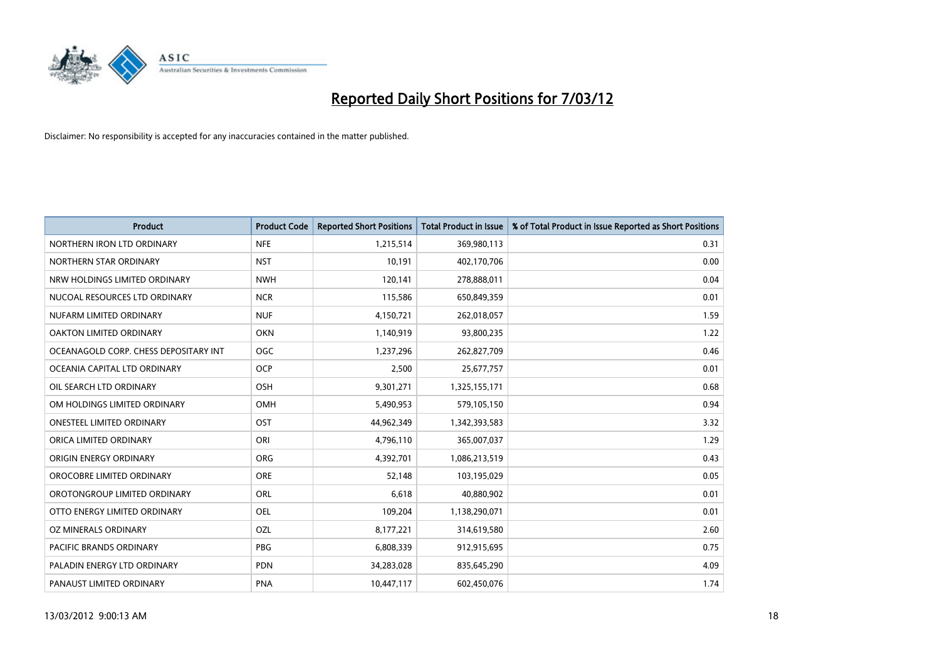

| <b>Product</b>                        | <b>Product Code</b> | <b>Reported Short Positions</b> | <b>Total Product in Issue</b> | % of Total Product in Issue Reported as Short Positions |
|---------------------------------------|---------------------|---------------------------------|-------------------------------|---------------------------------------------------------|
| NORTHERN IRON LTD ORDINARY            | <b>NFE</b>          | 1,215,514                       | 369,980,113                   | 0.31                                                    |
| NORTHERN STAR ORDINARY                | <b>NST</b>          | 10,191                          | 402,170,706                   | 0.00                                                    |
| NRW HOLDINGS LIMITED ORDINARY         | <b>NWH</b>          | 120,141                         | 278,888,011                   | 0.04                                                    |
| NUCOAL RESOURCES LTD ORDINARY         | <b>NCR</b>          | 115,586                         | 650,849,359                   | 0.01                                                    |
| NUFARM LIMITED ORDINARY               | <b>NUF</b>          | 4,150,721                       | 262,018,057                   | 1.59                                                    |
| OAKTON LIMITED ORDINARY               | <b>OKN</b>          | 1,140,919                       | 93,800,235                    | 1.22                                                    |
| OCEANAGOLD CORP. CHESS DEPOSITARY INT | <b>OGC</b>          | 1,237,296                       | 262,827,709                   | 0.46                                                    |
| OCEANIA CAPITAL LTD ORDINARY          | <b>OCP</b>          | 2,500                           | 25,677,757                    | 0.01                                                    |
| OIL SEARCH LTD ORDINARY               | OSH                 | 9,301,271                       | 1,325,155,171                 | 0.68                                                    |
| OM HOLDINGS LIMITED ORDINARY          | <b>OMH</b>          | 5,490,953                       | 579,105,150                   | 0.94                                                    |
| ONESTEEL LIMITED ORDINARY             | OST                 | 44,962,349                      | 1,342,393,583                 | 3.32                                                    |
| ORICA LIMITED ORDINARY                | ORI                 | 4,796,110                       | 365,007,037                   | 1.29                                                    |
| ORIGIN ENERGY ORDINARY                | ORG                 | 4,392,701                       | 1,086,213,519                 | 0.43                                                    |
| OROCOBRE LIMITED ORDINARY             | <b>ORE</b>          | 52,148                          | 103,195,029                   | 0.05                                                    |
| OROTONGROUP LIMITED ORDINARY          | ORL                 | 6,618                           | 40,880,902                    | 0.01                                                    |
| OTTO ENERGY LIMITED ORDINARY          | OEL                 | 109,204                         | 1,138,290,071                 | 0.01                                                    |
| OZ MINERALS ORDINARY                  | OZL                 | 8,177,221                       | 314,619,580                   | 2.60                                                    |
| <b>PACIFIC BRANDS ORDINARY</b>        | <b>PBG</b>          | 6,808,339                       | 912,915,695                   | 0.75                                                    |
| PALADIN ENERGY LTD ORDINARY           | <b>PDN</b>          | 34,283,028                      | 835,645,290                   | 4.09                                                    |
| PANAUST LIMITED ORDINARY              | <b>PNA</b>          | 10,447,117                      | 602,450,076                   | 1.74                                                    |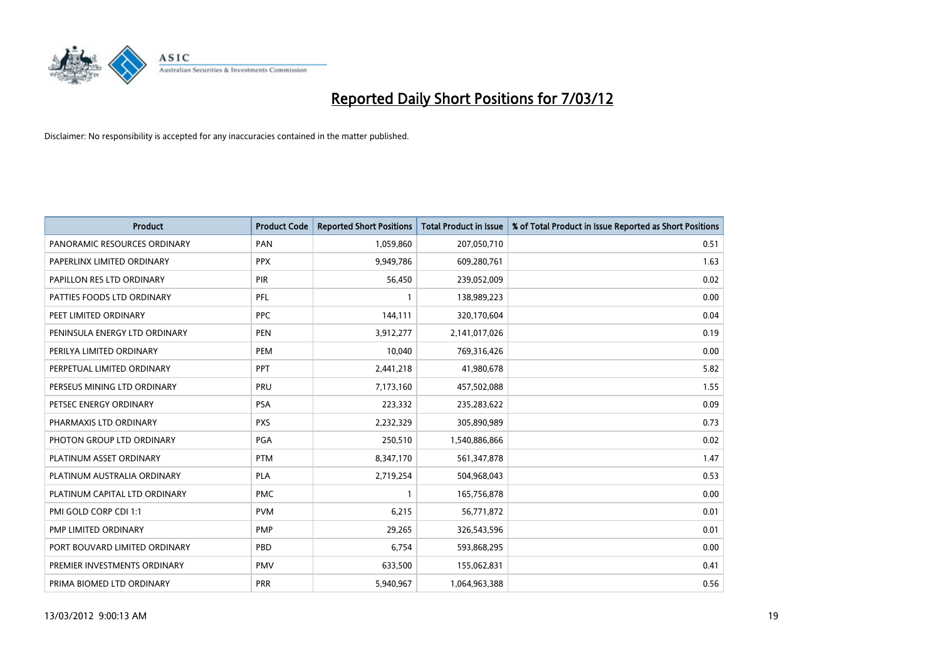

| <b>Product</b>                | <b>Product Code</b> | <b>Reported Short Positions</b> | <b>Total Product in Issue</b> | % of Total Product in Issue Reported as Short Positions |
|-------------------------------|---------------------|---------------------------------|-------------------------------|---------------------------------------------------------|
| PANORAMIC RESOURCES ORDINARY  | PAN                 | 1,059,860                       | 207,050,710                   | 0.51                                                    |
| PAPERLINX LIMITED ORDINARY    | <b>PPX</b>          | 9,949,786                       | 609,280,761                   | 1.63                                                    |
| PAPILLON RES LTD ORDINARY     | <b>PIR</b>          | 56,450                          | 239,052,009                   | 0.02                                                    |
| PATTIES FOODS LTD ORDINARY    | PFL                 | $\mathbf{1}$                    | 138,989,223                   | 0.00                                                    |
| PEET LIMITED ORDINARY         | <b>PPC</b>          | 144,111                         | 320,170,604                   | 0.04                                                    |
| PENINSULA ENERGY LTD ORDINARY | <b>PEN</b>          | 3,912,277                       | 2,141,017,026                 | 0.19                                                    |
| PERILYA LIMITED ORDINARY      | <b>PEM</b>          | 10,040                          | 769,316,426                   | 0.00                                                    |
| PERPETUAL LIMITED ORDINARY    | PPT                 | 2,441,218                       | 41,980,678                    | 5.82                                                    |
| PERSEUS MINING LTD ORDINARY   | PRU                 | 7,173,160                       | 457,502,088                   | 1.55                                                    |
| PETSEC ENERGY ORDINARY        | <b>PSA</b>          | 223,332                         | 235,283,622                   | 0.09                                                    |
| PHARMAXIS LTD ORDINARY        | <b>PXS</b>          | 2,232,329                       | 305,890,989                   | 0.73                                                    |
| PHOTON GROUP LTD ORDINARY     | PGA                 | 250,510                         | 1,540,886,866                 | 0.02                                                    |
| PLATINUM ASSET ORDINARY       | <b>PTM</b>          | 8,347,170                       | 561,347,878                   | 1.47                                                    |
| PLATINUM AUSTRALIA ORDINARY   | <b>PLA</b>          | 2,719,254                       | 504,968,043                   | 0.53                                                    |
| PLATINUM CAPITAL LTD ORDINARY | <b>PMC</b>          | $\mathbf{1}$                    | 165,756,878                   | 0.00                                                    |
| PMI GOLD CORP CDI 1:1         | <b>PVM</b>          | 6,215                           | 56,771,872                    | 0.01                                                    |
| PMP LIMITED ORDINARY          | <b>PMP</b>          | 29,265                          | 326,543,596                   | 0.01                                                    |
| PORT BOUVARD LIMITED ORDINARY | <b>PBD</b>          | 6,754                           | 593,868,295                   | 0.00                                                    |
| PREMIER INVESTMENTS ORDINARY  | <b>PMV</b>          | 633,500                         | 155,062,831                   | 0.41                                                    |
| PRIMA BIOMED LTD ORDINARY     | <b>PRR</b>          | 5,940,967                       | 1,064,963,388                 | 0.56                                                    |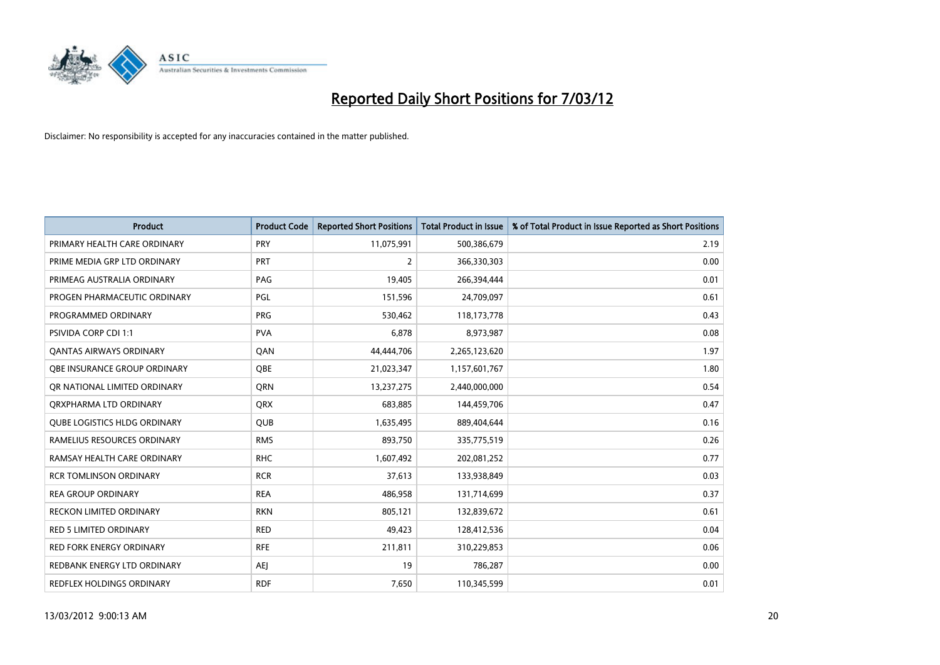

| <b>Product</b>                      | <b>Product Code</b> | <b>Reported Short Positions</b> | <b>Total Product in Issue</b> | % of Total Product in Issue Reported as Short Positions |
|-------------------------------------|---------------------|---------------------------------|-------------------------------|---------------------------------------------------------|
| PRIMARY HEALTH CARE ORDINARY        | <b>PRY</b>          | 11,075,991                      | 500,386,679                   | 2.19                                                    |
| PRIME MEDIA GRP LTD ORDINARY        | PRT                 | 2                               | 366,330,303                   | 0.00                                                    |
| PRIMEAG AUSTRALIA ORDINARY          | PAG                 | 19,405                          | 266,394,444                   | 0.01                                                    |
| PROGEN PHARMACEUTIC ORDINARY        | PGL                 | 151,596                         | 24,709,097                    | 0.61                                                    |
| PROGRAMMED ORDINARY                 | <b>PRG</b>          | 530,462                         | 118, 173, 778                 | 0.43                                                    |
| <b>PSIVIDA CORP CDI 1:1</b>         | <b>PVA</b>          | 6,878                           | 8,973,987                     | 0.08                                                    |
| <b>QANTAS AIRWAYS ORDINARY</b>      | QAN                 | 44,444,706                      | 2,265,123,620                 | 1.97                                                    |
| OBE INSURANCE GROUP ORDINARY        | <b>OBE</b>          | 21,023,347                      | 1,157,601,767                 | 1.80                                                    |
| OR NATIONAL LIMITED ORDINARY        | <b>ORN</b>          | 13,237,275                      | 2,440,000,000                 | 0.54                                                    |
| ORXPHARMA LTD ORDINARY              | <b>QRX</b>          | 683,885                         | 144,459,706                   | 0.47                                                    |
| <b>QUBE LOGISTICS HLDG ORDINARY</b> | <b>QUB</b>          | 1,635,495                       | 889,404,644                   | 0.16                                                    |
| RAMELIUS RESOURCES ORDINARY         | <b>RMS</b>          | 893,750                         | 335,775,519                   | 0.26                                                    |
| RAMSAY HEALTH CARE ORDINARY         | <b>RHC</b>          | 1,607,492                       | 202,081,252                   | 0.77                                                    |
| <b>RCR TOMLINSON ORDINARY</b>       | <b>RCR</b>          | 37,613                          | 133,938,849                   | 0.03                                                    |
| <b>REA GROUP ORDINARY</b>           | <b>REA</b>          | 486,958                         | 131,714,699                   | 0.37                                                    |
| RECKON LIMITED ORDINARY             | <b>RKN</b>          | 805,121                         | 132,839,672                   | 0.61                                                    |
| RED 5 LIMITED ORDINARY              | <b>RED</b>          | 49,423                          | 128,412,536                   | 0.04                                                    |
| <b>RED FORK ENERGY ORDINARY</b>     | <b>RFE</b>          | 211,811                         | 310,229,853                   | 0.06                                                    |
| REDBANK ENERGY LTD ORDINARY         | <b>AEI</b>          | 19                              | 786,287                       | 0.00                                                    |
| REDFLEX HOLDINGS ORDINARY           | <b>RDF</b>          | 7,650                           | 110,345,599                   | 0.01                                                    |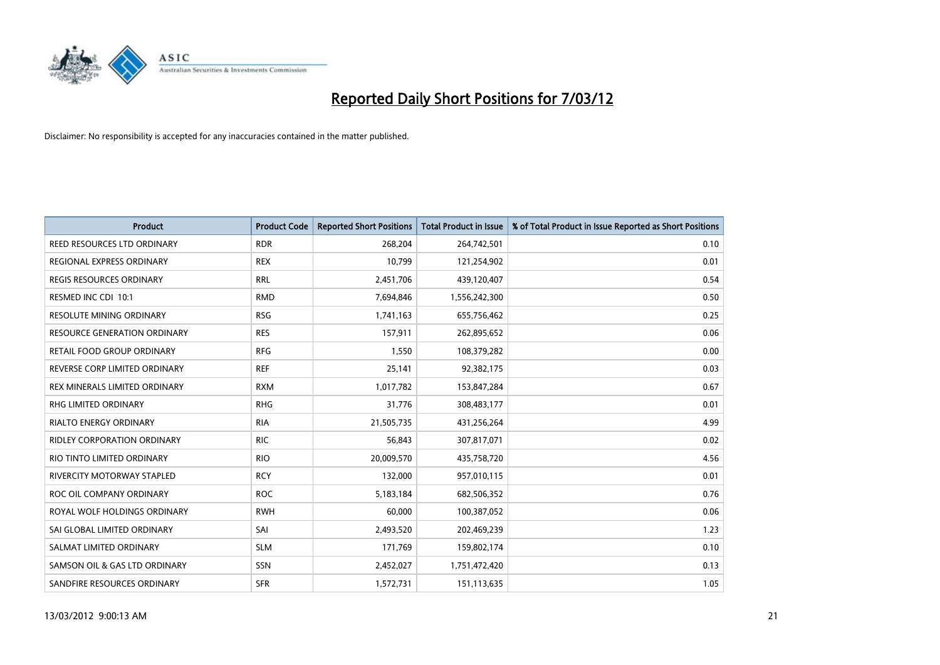

| <b>Product</b>                      | <b>Product Code</b> | <b>Reported Short Positions</b> | <b>Total Product in Issue</b> | % of Total Product in Issue Reported as Short Positions |
|-------------------------------------|---------------------|---------------------------------|-------------------------------|---------------------------------------------------------|
| REED RESOURCES LTD ORDINARY         | <b>RDR</b>          | 268,204                         | 264,742,501                   | 0.10                                                    |
| REGIONAL EXPRESS ORDINARY           | <b>REX</b>          | 10,799                          | 121,254,902                   | 0.01                                                    |
| <b>REGIS RESOURCES ORDINARY</b>     | <b>RRL</b>          | 2,451,706                       | 439,120,407                   | 0.54                                                    |
| RESMED INC CDI 10:1                 | <b>RMD</b>          | 7,694,846                       | 1,556,242,300                 | 0.50                                                    |
| <b>RESOLUTE MINING ORDINARY</b>     | <b>RSG</b>          | 1,741,163                       | 655,756,462                   | 0.25                                                    |
| <b>RESOURCE GENERATION ORDINARY</b> | <b>RES</b>          | 157,911                         | 262,895,652                   | 0.06                                                    |
| RETAIL FOOD GROUP ORDINARY          | <b>RFG</b>          | 1,550                           | 108,379,282                   | 0.00                                                    |
| REVERSE CORP LIMITED ORDINARY       | <b>REF</b>          | 25,141                          | 92,382,175                    | 0.03                                                    |
| REX MINERALS LIMITED ORDINARY       | <b>RXM</b>          | 1,017,782                       | 153,847,284                   | 0.67                                                    |
| <b>RHG LIMITED ORDINARY</b>         | <b>RHG</b>          | 31,776                          | 308,483,177                   | 0.01                                                    |
| RIALTO ENERGY ORDINARY              | <b>RIA</b>          | 21,505,735                      | 431,256,264                   | 4.99                                                    |
| <b>RIDLEY CORPORATION ORDINARY</b>  | <b>RIC</b>          | 56,843                          | 307,817,071                   | 0.02                                                    |
| RIO TINTO LIMITED ORDINARY          | <b>RIO</b>          | 20,009,570                      | 435,758,720                   | 4.56                                                    |
| RIVERCITY MOTORWAY STAPLED          | <b>RCY</b>          | 132,000                         | 957,010,115                   | 0.01                                                    |
| ROC OIL COMPANY ORDINARY            | <b>ROC</b>          | 5,183,184                       | 682,506,352                   | 0.76                                                    |
| ROYAL WOLF HOLDINGS ORDINARY        | <b>RWH</b>          | 60,000                          | 100,387,052                   | 0.06                                                    |
| SAI GLOBAL LIMITED ORDINARY         | SAI                 | 2,493,520                       | 202,469,239                   | 1.23                                                    |
| SALMAT LIMITED ORDINARY             | <b>SLM</b>          | 171,769                         | 159,802,174                   | 0.10                                                    |
| SAMSON OIL & GAS LTD ORDINARY       | SSN                 | 2,452,027                       | 1,751,472,420                 | 0.13                                                    |
| SANDFIRE RESOURCES ORDINARY         | <b>SFR</b>          | 1,572,731                       | 151,113,635                   | 1.05                                                    |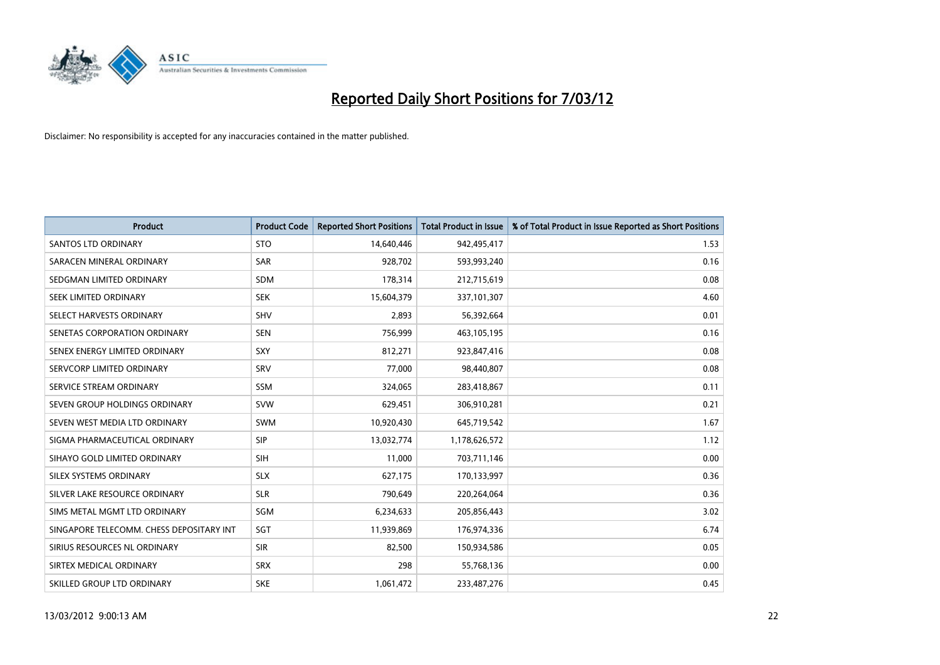

| <b>Product</b>                           | <b>Product Code</b> | <b>Reported Short Positions</b> | <b>Total Product in Issue</b> | % of Total Product in Issue Reported as Short Positions |
|------------------------------------------|---------------------|---------------------------------|-------------------------------|---------------------------------------------------------|
| <b>SANTOS LTD ORDINARY</b>               | <b>STO</b>          | 14,640,446                      | 942,495,417                   | 1.53                                                    |
| SARACEN MINERAL ORDINARY                 | SAR                 | 928,702                         | 593,993,240                   | 0.16                                                    |
| SEDGMAN LIMITED ORDINARY                 | <b>SDM</b>          | 178,314                         | 212,715,619                   | 0.08                                                    |
| SEEK LIMITED ORDINARY                    | <b>SEK</b>          | 15,604,379                      | 337,101,307                   | 4.60                                                    |
| SELECT HARVESTS ORDINARY                 | <b>SHV</b>          | 2,893                           | 56,392,664                    | 0.01                                                    |
| SENETAS CORPORATION ORDINARY             | <b>SEN</b>          | 756,999                         | 463,105,195                   | 0.16                                                    |
| SENEX ENERGY LIMITED ORDINARY            | <b>SXY</b>          | 812,271                         | 923,847,416                   | 0.08                                                    |
| SERVCORP LIMITED ORDINARY                | SRV                 | 77,000                          | 98,440,807                    | 0.08                                                    |
| SERVICE STREAM ORDINARY                  | <b>SSM</b>          | 324,065                         | 283,418,867                   | 0.11                                                    |
| SEVEN GROUP HOLDINGS ORDINARY            | <b>SVW</b>          | 629,451                         | 306,910,281                   | 0.21                                                    |
| SEVEN WEST MEDIA LTD ORDINARY            | SWM                 | 10,920,430                      | 645,719,542                   | 1.67                                                    |
| SIGMA PHARMACEUTICAL ORDINARY            | <b>SIP</b>          | 13,032,774                      | 1,178,626,572                 | 1.12                                                    |
| SIHAYO GOLD LIMITED ORDINARY             | <b>SIH</b>          | 11,000                          | 703,711,146                   | 0.00                                                    |
| SILEX SYSTEMS ORDINARY                   | <b>SLX</b>          | 627,175                         | 170,133,997                   | 0.36                                                    |
| SILVER LAKE RESOURCE ORDINARY            | <b>SLR</b>          | 790,649                         | 220,264,064                   | 0.36                                                    |
| SIMS METAL MGMT LTD ORDINARY             | SGM                 | 6,234,633                       | 205,856,443                   | 3.02                                                    |
| SINGAPORE TELECOMM. CHESS DEPOSITARY INT | SGT                 | 11,939,869                      | 176,974,336                   | 6.74                                                    |
| SIRIUS RESOURCES NL ORDINARY             | <b>SIR</b>          | 82,500                          | 150,934,586                   | 0.05                                                    |
| SIRTEX MEDICAL ORDINARY                  | <b>SRX</b>          | 298                             | 55,768,136                    | 0.00                                                    |
| SKILLED GROUP LTD ORDINARY               | <b>SKE</b>          | 1,061,472                       | 233,487,276                   | 0.45                                                    |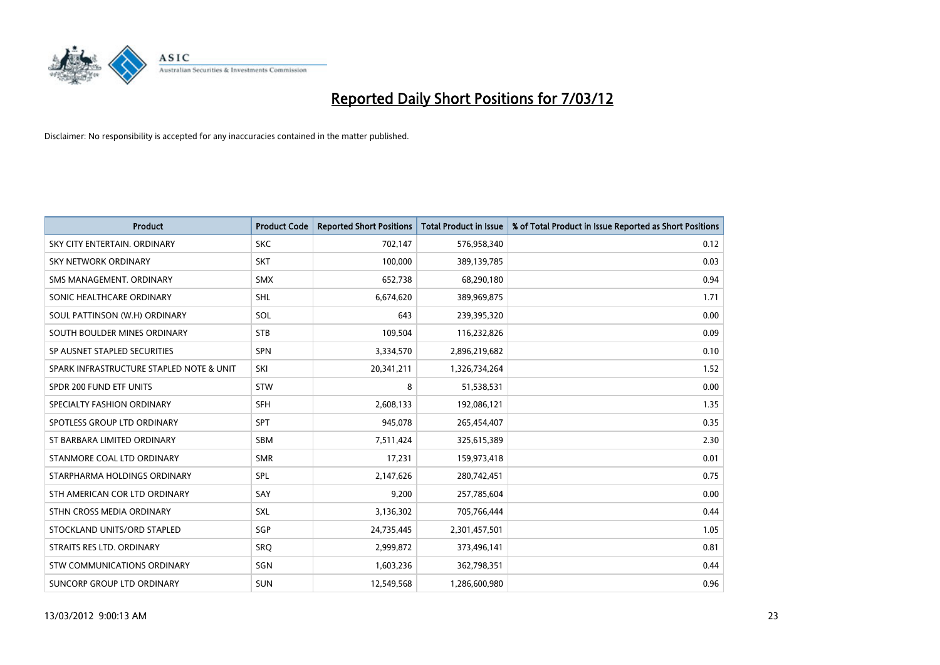

| <b>Product</b>                           | <b>Product Code</b> | <b>Reported Short Positions</b> | <b>Total Product in Issue</b> | % of Total Product in Issue Reported as Short Positions |
|------------------------------------------|---------------------|---------------------------------|-------------------------------|---------------------------------------------------------|
| SKY CITY ENTERTAIN, ORDINARY             | <b>SKC</b>          | 702,147                         | 576,958,340                   | 0.12                                                    |
| SKY NETWORK ORDINARY                     | <b>SKT</b>          | 100,000                         | 389,139,785                   | 0.03                                                    |
| SMS MANAGEMENT, ORDINARY                 | <b>SMX</b>          | 652,738                         | 68,290,180                    | 0.94                                                    |
| SONIC HEALTHCARE ORDINARY                | SHL                 | 6,674,620                       | 389,969,875                   | 1.71                                                    |
| SOUL PATTINSON (W.H) ORDINARY            | SOL                 | 643                             | 239,395,320                   | 0.00                                                    |
| SOUTH BOULDER MINES ORDINARY             | <b>STB</b>          | 109,504                         | 116,232,826                   | 0.09                                                    |
| SP AUSNET STAPLED SECURITIES             | <b>SPN</b>          | 3,334,570                       | 2,896,219,682                 | 0.10                                                    |
| SPARK INFRASTRUCTURE STAPLED NOTE & UNIT | SKI                 | 20,341,211                      | 1,326,734,264                 | 1.52                                                    |
| SPDR 200 FUND ETF UNITS                  | <b>STW</b>          | 8                               | 51,538,531                    | 0.00                                                    |
| SPECIALTY FASHION ORDINARY               | SFH                 | 2,608,133                       | 192,086,121                   | 1.35                                                    |
| SPOTLESS GROUP LTD ORDINARY              | <b>SPT</b>          | 945,078                         | 265,454,407                   | 0.35                                                    |
| ST BARBARA LIMITED ORDINARY              | <b>SBM</b>          | 7,511,424                       | 325,615,389                   | 2.30                                                    |
| STANMORE COAL LTD ORDINARY               | <b>SMR</b>          | 17,231                          | 159,973,418                   | 0.01                                                    |
| STARPHARMA HOLDINGS ORDINARY             | SPL                 | 2,147,626                       | 280,742,451                   | 0.75                                                    |
| STH AMERICAN COR LTD ORDINARY            | SAY                 | 9,200                           | 257,785,604                   | 0.00                                                    |
| STHN CROSS MEDIA ORDINARY                | SXL                 | 3,136,302                       | 705,766,444                   | 0.44                                                    |
| STOCKLAND UNITS/ORD STAPLED              | SGP                 | 24,735,445                      | 2,301,457,501                 | 1.05                                                    |
| STRAITS RES LTD. ORDINARY                | SRQ                 | 2,999,872                       | 373,496,141                   | 0.81                                                    |
| STW COMMUNICATIONS ORDINARY              | SGN                 | 1,603,236                       | 362,798,351                   | 0.44                                                    |
| SUNCORP GROUP LTD ORDINARY               | <b>SUN</b>          | 12,549,568                      | 1,286,600,980                 | 0.96                                                    |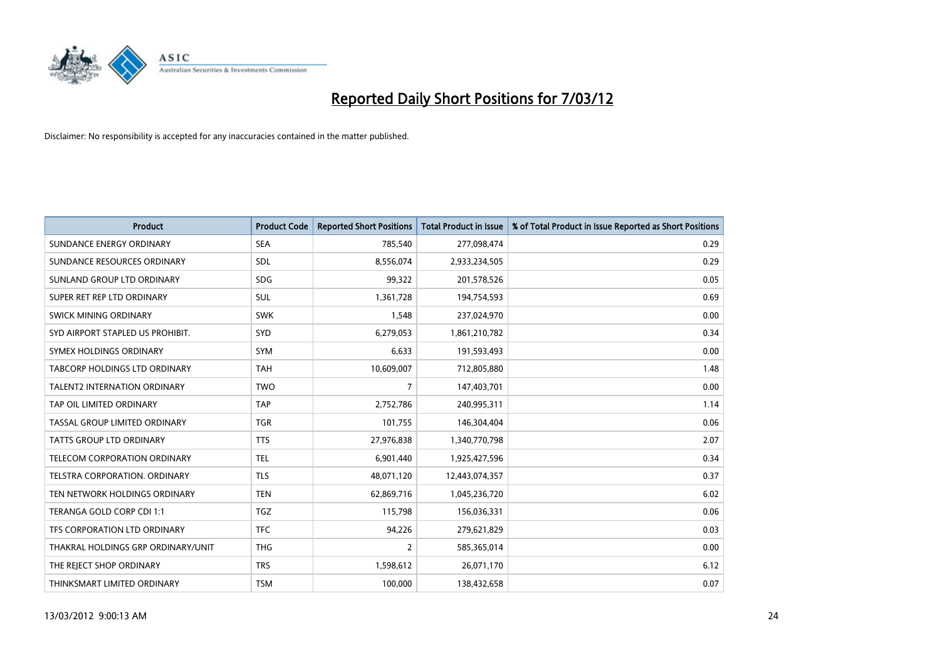

| <b>Product</b>                      | <b>Product Code</b> | <b>Reported Short Positions</b> | <b>Total Product in Issue</b> | % of Total Product in Issue Reported as Short Positions |
|-------------------------------------|---------------------|---------------------------------|-------------------------------|---------------------------------------------------------|
| SUNDANCE ENERGY ORDINARY            | <b>SEA</b>          | 785,540                         | 277,098,474                   | 0.29                                                    |
| SUNDANCE RESOURCES ORDINARY         | <b>SDL</b>          | 8,556,074                       | 2,933,234,505                 | 0.29                                                    |
| SUNLAND GROUP LTD ORDINARY          | <b>SDG</b>          | 99,322                          | 201,578,526                   | 0.05                                                    |
| SUPER RET REP LTD ORDINARY          | <b>SUL</b>          | 1,361,728                       | 194,754,593                   | 0.69                                                    |
| SWICK MINING ORDINARY               | <b>SWK</b>          | 1,548                           | 237,024,970                   | 0.00                                                    |
| SYD AIRPORT STAPLED US PROHIBIT.    | <b>SYD</b>          | 6,279,053                       | 1,861,210,782                 | 0.34                                                    |
| SYMEX HOLDINGS ORDINARY             | <b>SYM</b>          | 6,633                           | 191,593,493                   | 0.00                                                    |
| TABCORP HOLDINGS LTD ORDINARY       | <b>TAH</b>          | 10,609,007                      | 712,805,880                   | 1.48                                                    |
| <b>TALENT2 INTERNATION ORDINARY</b> | <b>TWO</b>          | $\overline{7}$                  | 147,403,701                   | 0.00                                                    |
| TAP OIL LIMITED ORDINARY            | <b>TAP</b>          | 2,752,786                       | 240,995,311                   | 1.14                                                    |
| TASSAL GROUP LIMITED ORDINARY       | <b>TGR</b>          | 101,755                         | 146,304,404                   | 0.06                                                    |
| <b>TATTS GROUP LTD ORDINARY</b>     | <b>TTS</b>          | 27,976,838                      | 1,340,770,798                 | 2.07                                                    |
| TELECOM CORPORATION ORDINARY        | <b>TEL</b>          | 6,901,440                       | 1,925,427,596                 | 0.34                                                    |
| TELSTRA CORPORATION, ORDINARY       | <b>TLS</b>          | 48,071,120                      | 12,443,074,357                | 0.37                                                    |
| TEN NETWORK HOLDINGS ORDINARY       | <b>TEN</b>          | 62,869,716                      | 1,045,236,720                 | 6.02                                                    |
| TERANGA GOLD CORP CDI 1:1           | <b>TGZ</b>          | 115,798                         | 156,036,331                   | 0.06                                                    |
| TFS CORPORATION LTD ORDINARY        | <b>TFC</b>          | 94,226                          | 279,621,829                   | 0.03                                                    |
| THAKRAL HOLDINGS GRP ORDINARY/UNIT  | <b>THG</b>          | $\overline{2}$                  | 585,365,014                   | 0.00                                                    |
| THE REJECT SHOP ORDINARY            | <b>TRS</b>          | 1,598,612                       | 26,071,170                    | 6.12                                                    |
| THINKSMART LIMITED ORDINARY         | <b>TSM</b>          | 100,000                         | 138,432,658                   | 0.07                                                    |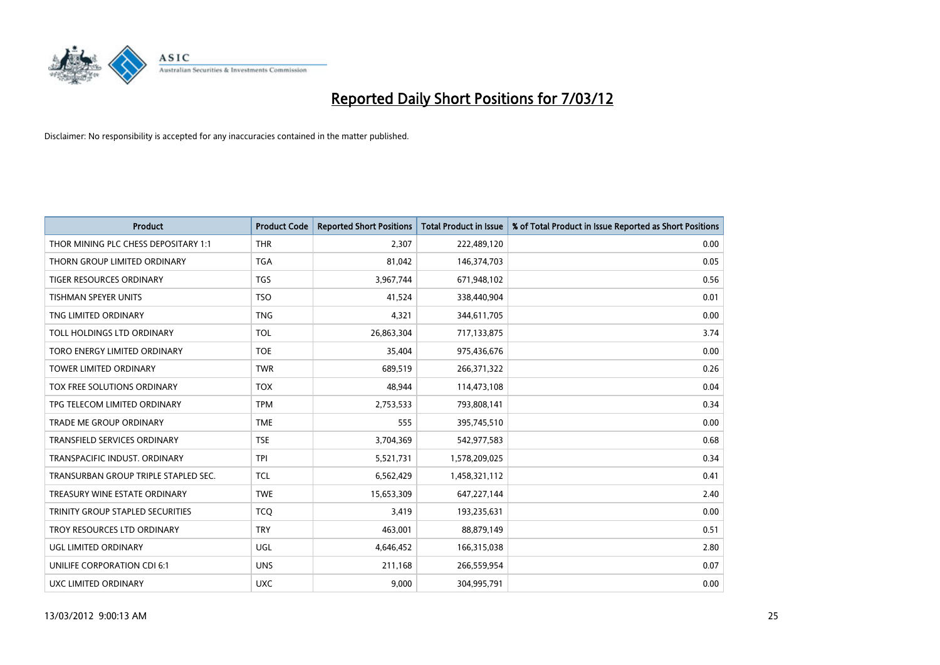

| <b>Product</b>                          | <b>Product Code</b> | <b>Reported Short Positions</b> | <b>Total Product in Issue</b> | % of Total Product in Issue Reported as Short Positions |
|-----------------------------------------|---------------------|---------------------------------|-------------------------------|---------------------------------------------------------|
| THOR MINING PLC CHESS DEPOSITARY 1:1    | <b>THR</b>          | 2,307                           | 222,489,120                   | 0.00                                                    |
| THORN GROUP LIMITED ORDINARY            | <b>TGA</b>          | 81,042                          | 146,374,703                   | 0.05                                                    |
| TIGER RESOURCES ORDINARY                | <b>TGS</b>          | 3,967,744                       | 671,948,102                   | 0.56                                                    |
| TISHMAN SPEYER UNITS                    | <b>TSO</b>          | 41,524                          | 338,440,904                   | 0.01                                                    |
| TNG LIMITED ORDINARY                    | <b>TNG</b>          | 4,321                           | 344,611,705                   | 0.00                                                    |
| TOLL HOLDINGS LTD ORDINARY              | <b>TOL</b>          | 26,863,304                      | 717,133,875                   | 3.74                                                    |
| TORO ENERGY LIMITED ORDINARY            | <b>TOE</b>          | 35,404                          | 975,436,676                   | 0.00                                                    |
| TOWER LIMITED ORDINARY                  | <b>TWR</b>          | 689,519                         | 266,371,322                   | 0.26                                                    |
| TOX FREE SOLUTIONS ORDINARY             | <b>TOX</b>          | 48.944                          | 114,473,108                   | 0.04                                                    |
| TPG TELECOM LIMITED ORDINARY            | <b>TPM</b>          | 2,753,533                       | 793,808,141                   | 0.34                                                    |
| TRADE ME GROUP ORDINARY                 | <b>TME</b>          | 555                             | 395,745,510                   | 0.00                                                    |
| <b>TRANSFIELD SERVICES ORDINARY</b>     | <b>TSE</b>          | 3,704,369                       | 542,977,583                   | 0.68                                                    |
| TRANSPACIFIC INDUST. ORDINARY           | <b>TPI</b>          | 5,521,731                       | 1,578,209,025                 | 0.34                                                    |
| TRANSURBAN GROUP TRIPLE STAPLED SEC.    | <b>TCL</b>          | 6,562,429                       | 1,458,321,112                 | 0.41                                                    |
| TREASURY WINE ESTATE ORDINARY           | <b>TWE</b>          | 15,653,309                      | 647,227,144                   | 2.40                                                    |
| <b>TRINITY GROUP STAPLED SECURITIES</b> | <b>TCO</b>          | 3,419                           | 193,235,631                   | 0.00                                                    |
| TROY RESOURCES LTD ORDINARY             | <b>TRY</b>          | 463,001                         | 88,879,149                    | 0.51                                                    |
| UGL LIMITED ORDINARY                    | UGL                 | 4,646,452                       | 166,315,038                   | 2.80                                                    |
| UNILIFE CORPORATION CDI 6:1             | <b>UNS</b>          | 211,168                         | 266,559,954                   | 0.07                                                    |
| <b>UXC LIMITED ORDINARY</b>             | <b>UXC</b>          | 9,000                           | 304,995,791                   | 0.00                                                    |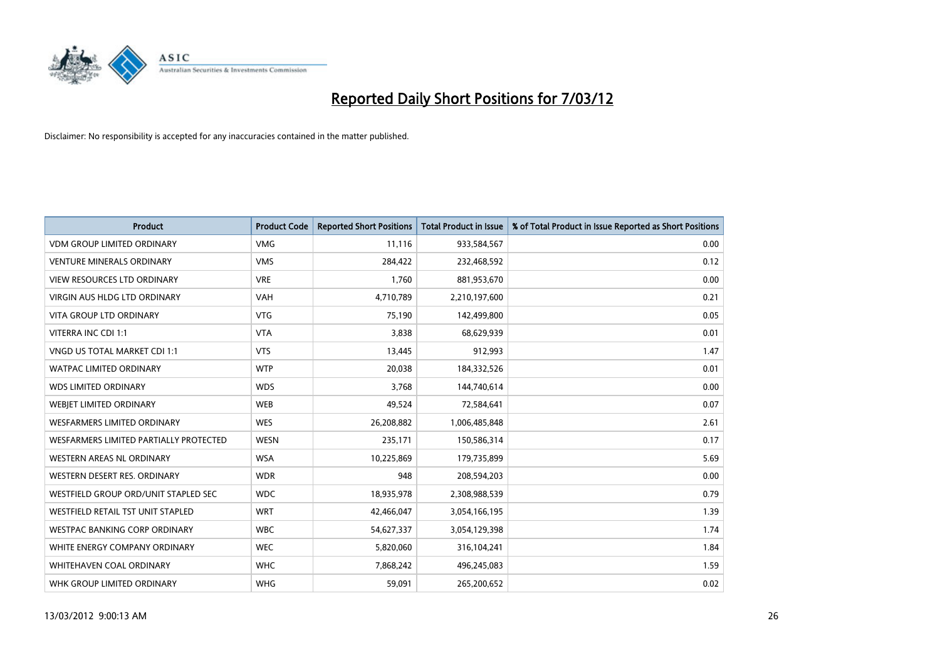

| <b>Product</b>                         | <b>Product Code</b> | <b>Reported Short Positions</b> | <b>Total Product in Issue</b> | % of Total Product in Issue Reported as Short Positions |
|----------------------------------------|---------------------|---------------------------------|-------------------------------|---------------------------------------------------------|
| <b>VDM GROUP LIMITED ORDINARY</b>      | <b>VMG</b>          | 11,116                          | 933,584,567                   | 0.00                                                    |
| <b>VENTURE MINERALS ORDINARY</b>       | <b>VMS</b>          | 284,422                         | 232,468,592                   | 0.12                                                    |
| <b>VIEW RESOURCES LTD ORDINARY</b>     | <b>VRE</b>          | 1,760                           | 881,953,670                   | 0.00                                                    |
| VIRGIN AUS HLDG LTD ORDINARY           | <b>VAH</b>          | 4,710,789                       | 2,210,197,600                 | 0.21                                                    |
| <b>VITA GROUP LTD ORDINARY</b>         | <b>VTG</b>          | 75,190                          | 142,499,800                   | 0.05                                                    |
| VITERRA INC CDI 1:1                    | <b>VTA</b>          | 3,838                           | 68,629,939                    | 0.01                                                    |
| VNGD US TOTAL MARKET CDI 1:1           | <b>VTS</b>          | 13,445                          | 912,993                       | 1.47                                                    |
| <b>WATPAC LIMITED ORDINARY</b>         | <b>WTP</b>          | 20,038                          | 184,332,526                   | 0.01                                                    |
| <b>WDS LIMITED ORDINARY</b>            | <b>WDS</b>          | 3,768                           | 144,740,614                   | 0.00                                                    |
| WEBIET LIMITED ORDINARY                | <b>WEB</b>          | 49,524                          | 72,584,641                    | 0.07                                                    |
| WESFARMERS LIMITED ORDINARY            | <b>WES</b>          | 26,208,882                      | 1,006,485,848                 | 2.61                                                    |
| WESFARMERS LIMITED PARTIALLY PROTECTED | <b>WESN</b>         | 235,171                         | 150,586,314                   | 0.17                                                    |
| WESTERN AREAS NL ORDINARY              | <b>WSA</b>          | 10,225,869                      | 179,735,899                   | 5.69                                                    |
| WESTERN DESERT RES. ORDINARY           | <b>WDR</b>          | 948                             | 208,594,203                   | 0.00                                                    |
| WESTFIELD GROUP ORD/UNIT STAPLED SEC   | <b>WDC</b>          | 18,935,978                      | 2,308,988,539                 | 0.79                                                    |
| WESTFIELD RETAIL TST UNIT STAPLED      | <b>WRT</b>          | 42,466,047                      | 3,054,166,195                 | 1.39                                                    |
| <b>WESTPAC BANKING CORP ORDINARY</b>   | <b>WBC</b>          | 54,627,337                      | 3,054,129,398                 | 1.74                                                    |
| WHITE ENERGY COMPANY ORDINARY          | <b>WEC</b>          | 5,820,060                       | 316,104,241                   | 1.84                                                    |
| WHITEHAVEN COAL ORDINARY               | <b>WHC</b>          | 7,868,242                       | 496,245,083                   | 1.59                                                    |
| WHK GROUP LIMITED ORDINARY             | <b>WHG</b>          | 59,091                          | 265,200,652                   | 0.02                                                    |